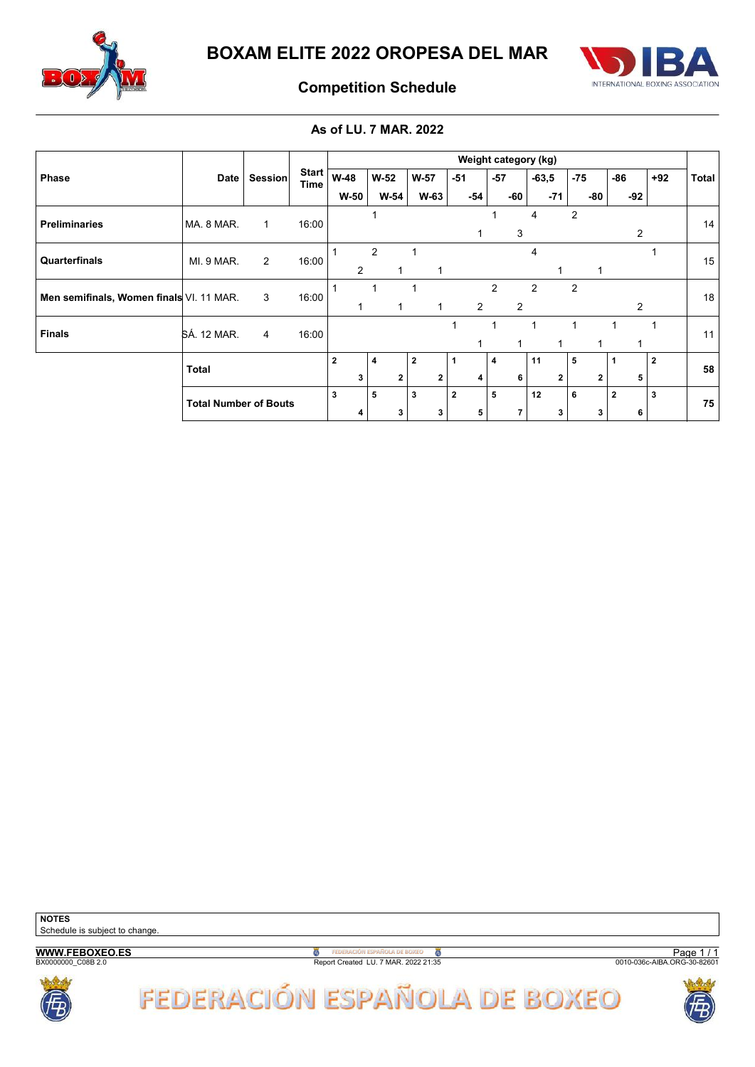



## Competition Schedule

### As of LU. 7 MAR. 2022

|                                          |                              |                |                      |                |              |              |                | Weight category (kg) |                |                |                |                |              |
|------------------------------------------|------------------------------|----------------|----------------------|----------------|--------------|--------------|----------------|----------------------|----------------|----------------|----------------|----------------|--------------|
| <b>Phase</b>                             | <b>Date</b>                  | Session        | <b>Start</b><br>Time | <b>W-48</b>    | $W-52$       | $W-57$       | $-51$          | $-57$                | $-63,5$        | $-75$          | -86            | $+92$          | <b>Total</b> |
|                                          |                              |                |                      | W-50           | W-54         | W-63         | -54            | -60                  | $-71$          | -80            | $-92$          |                |              |
| <b>Preliminaries</b>                     | MA. 8 MAR.                   | $\mathbf{1}$   | 16:00                |                |              |              |                |                      | 4              | $\overline{2}$ |                |                | 14           |
|                                          |                              |                |                      |                |              |              |                | 3                    |                |                | 2              |                |              |
| Quarterfinals                            | MI. 9 MAR.                   | $\overline{2}$ | 16:00                |                | 2            |              |                |                      | 4              |                |                |                | 15           |
|                                          |                              |                |                      | 2              |              | 1            |                |                      |                |                |                |                |              |
| Men semifinals, Women finals VI. 11 MAR. |                              | 3              | 16:00                |                |              |              |                | $\overline{2}$       | $\overline{2}$ | $\overline{2}$ |                |                | 18           |
|                                          |                              |                |                      |                | $\mathbf{1}$ | $\mathbf{1}$ | 2              | $\overline{2}$       |                |                | $\overline{2}$ |                |              |
| <b>Finals</b>                            | <b>SÁ. 12 MAR.</b>           | $\overline{4}$ | 16:00                |                |              |              |                |                      | 1              |                |                |                | 11           |
|                                          |                              |                |                      |                |              |              |                |                      |                |                |                |                |              |
|                                          | <b>Total</b>                 |                |                      | $\overline{2}$ | 4            | $\mathbf{2}$ | 1              | 4                    | 11             | 5              |                | $\overline{2}$ | 58           |
|                                          |                              |                |                      | 3              | 2            | $\mathbf{2}$ | 4              | 6                    | $\mathbf 2$    | $\mathbf{2}$   | 5              |                |              |
|                                          | <b>Total Number of Bouts</b> |                |                      | $\mathbf{3}$   | 5            | $\mathbf{3}$ | $\overline{2}$ | 5                    | 12             | 6              | $\overline{2}$ | 3              | 75           |
|                                          |                              |                |                      | 4              | 3            | 3            | 5              | $\overline{7}$       | 3              | 3              | 6              |                |              |



**B**<br>Report Created LU. 7 MAR. 2022 21:35

Page 1 / 1<br>0010-036c-AIBA.ORG-30-82601



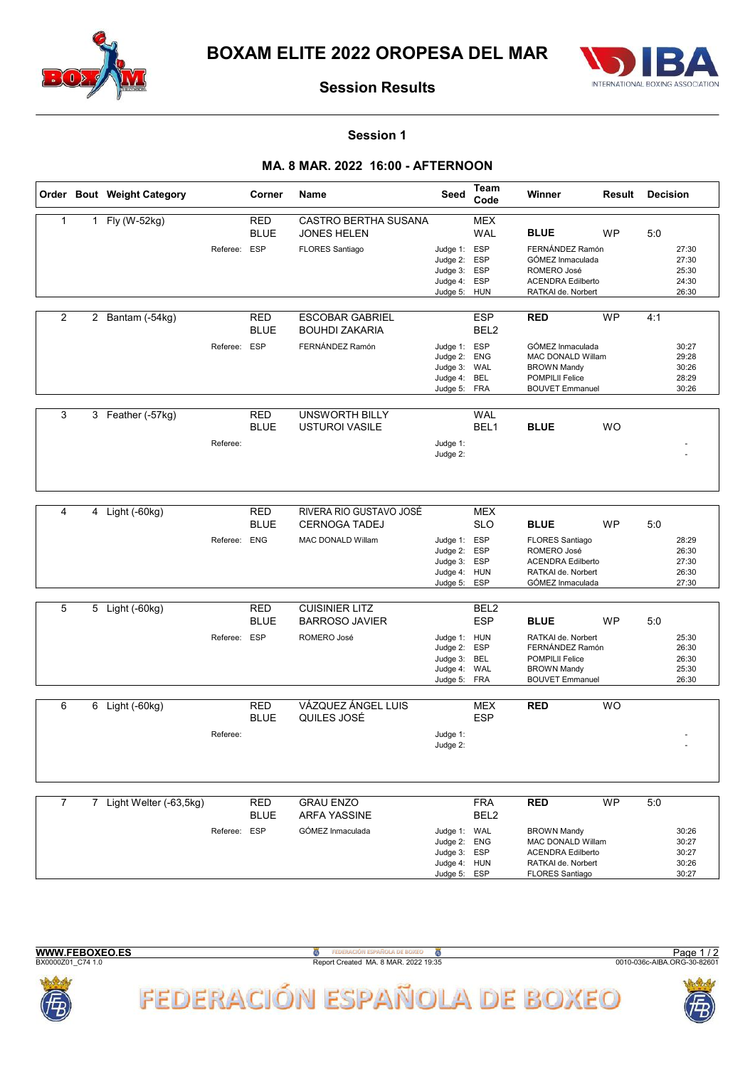



#### Session 1

### MA. 8 MAR. 2022 16:00 - AFTERNOON

|                |   | Order Bout Weight Category |              | Corner                    | <b>Name</b>                                       | Seed                                                                         | Team<br>Code                   | Winner                                                                                                                     | Result    | <b>Decision</b>                           |  |
|----------------|---|----------------------------|--------------|---------------------------|---------------------------------------------------|------------------------------------------------------------------------------|--------------------------------|----------------------------------------------------------------------------------------------------------------------------|-----------|-------------------------------------------|--|
| $\mathbf{1}$   |   | 1 Fly (W-52kg)             |              | RED<br><b>BLUE</b>        | <b>CASTRO BERTHA SUSANA</b><br><b>JONES HELEN</b> |                                                                              | MEX<br><b>WAL</b>              | <b>BLUE</b>                                                                                                                | WP        | 5:0                                       |  |
|                |   |                            | Referee: ESP |                           | <b>FLORES Santiago</b>                            | Judge 1: ESP<br>Judge 2: ESP<br>Judge 3: ESP<br>Judge 4: ESP<br>Judge 5: HUN |                                | FERNÁNDEZ Ramón<br>GÓMEZ Inmaculada<br>ROMERO José<br><b>ACENDRA Edilberto</b><br>RATKAI de. Norbert                       |           | 27:30<br>27:30<br>25:30<br>24:30<br>26:30 |  |
| 2              |   | 2 Bantam (-54kg)           |              | RED<br><b>BLUE</b>        | <b>ESCOBAR GABRIEL</b><br><b>BOUHDI ZAKARIA</b>   |                                                                              | <b>ESP</b><br>BEL <sub>2</sub> | <b>RED</b>                                                                                                                 | <b>WP</b> | 4:1                                       |  |
|                |   |                            | Referee: ESP |                           | FERNÁNDEZ Ramón                                   | Judge 1: ESP<br>Judge 2: ENG<br>Judge 3: WAL<br>Judge 4: BEL<br>Judge 5: FRA |                                | GÓMEZ Inmaculada<br>MAC DONALD Willam<br><b>BROWN Mandy</b><br><b>POMPILII Felice</b><br><b>BOUVET Emmanuel</b>            |           | 30:27<br>29:28<br>30:26<br>28:29<br>30:26 |  |
| $\mathbf{3}$   |   | 3 Feather (-57kg)          |              | <b>RED</b>                | <b>UNSWORTH BILLY</b>                             |                                                                              | <b>WAL</b>                     |                                                                                                                            |           |                                           |  |
|                |   |                            | Referee:     | <b>BLUE</b>               | <b>USTUROI VASILE</b>                             | Judge 1:<br>Judge 2:                                                         | BEL1                           | <b>BLUE</b>                                                                                                                | <b>WO</b> |                                           |  |
|                |   |                            |              |                           |                                                   |                                                                              |                                |                                                                                                                            |           |                                           |  |
| 4              | 4 | Light (-60kg)              |              | <b>RED</b><br><b>BLUE</b> | RIVERA RIO GUSTAVO JOSÉ<br><b>CERNOGA TADEJ</b>   |                                                                              | <b>MEX</b><br><b>SLO</b>       | <b>BLUE</b>                                                                                                                | <b>WP</b> | 5:0                                       |  |
|                |   |                            | Referee: ENG |                           | MAC DONALD Willam                                 | Judge 1: ESP<br>Judge 2: ESP<br>Judge 3: ESP<br>Judge 4: HUN<br>Judge 5:     | ESP                            | <b>FLORES Santiago</b><br>ROMERO José<br><b>ACENDRA Edilberto</b><br>RATKAI de. Norbert<br>GÓMEZ Inmaculada                |           | 28:29<br>26:30<br>27:30<br>26:30<br>27:30 |  |
| 5              | 5 | Light (-60kg)              |              | <b>RED</b>                | <b>CUISINIER LITZ</b>                             |                                                                              | BEL <sub>2</sub>               |                                                                                                                            |           |                                           |  |
|                |   |                            |              | <b>BLUE</b>               | <b>BARROSO JAVIER</b>                             |                                                                              | <b>ESP</b>                     | <b>BLUE</b>                                                                                                                | <b>WP</b> | 5:0                                       |  |
|                |   |                            | Referee: ESP |                           | ROMERO José                                       | Judge 1: HUN<br>Judge 2: ESP<br>Judge 3: BEL<br>Judge 4: WAL<br>Judge 5: FRA |                                | RATKAI de. Norbert<br>FERNÁNDEZ Ramón<br><b>POMPILII Felice</b><br><b>BROWN Mandy</b><br><b>BOUVET Emmanuel</b>            |           | 25:30<br>26:30<br>26:30<br>25:30<br>26:30 |  |
| 6              | 6 | Light (-60kg)              |              | <b>RED</b>                | VÁZQUEZ ÁNGEL LUIS                                |                                                                              | MEX                            | <b>RED</b>                                                                                                                 | <b>WO</b> |                                           |  |
|                |   |                            | Referee:     | <b>BLUE</b>               | QUILES JOSÉ                                       | Judge 1:<br>Judge 2:                                                         | <b>ESP</b>                     |                                                                                                                            |           |                                           |  |
|                |   |                            |              |                           |                                                   |                                                                              |                                |                                                                                                                            |           |                                           |  |
| $\overline{7}$ |   | 7 Light Welter (-63,5kg)   |              | <b>RED</b><br><b>BLUE</b> | <b>GRAU ENZO</b><br><b>ARFA YASSINE</b>           |                                                                              | <b>FRA</b><br>BEL <sub>2</sub> | <b>RED</b>                                                                                                                 | <b>WP</b> | 5:0                                       |  |
|                |   |                            | Referee: ESP |                           | GÓMEZ Inmaculada                                  | Judge 1: WAL<br>Judge 2: ENG<br>Judge 3: ESP<br>Judge 4: HUN<br>Judge 5: ESP |                                | <b>BROWN Mandy</b><br><b>MAC DONALD Willam</b><br><b>ACENDRA Edilberto</b><br>RATKAI de. Norbert<br><b>FLORES Santiago</b> |           | 30:26<br>30:27<br>30:27<br>30:26<br>30:27 |  |



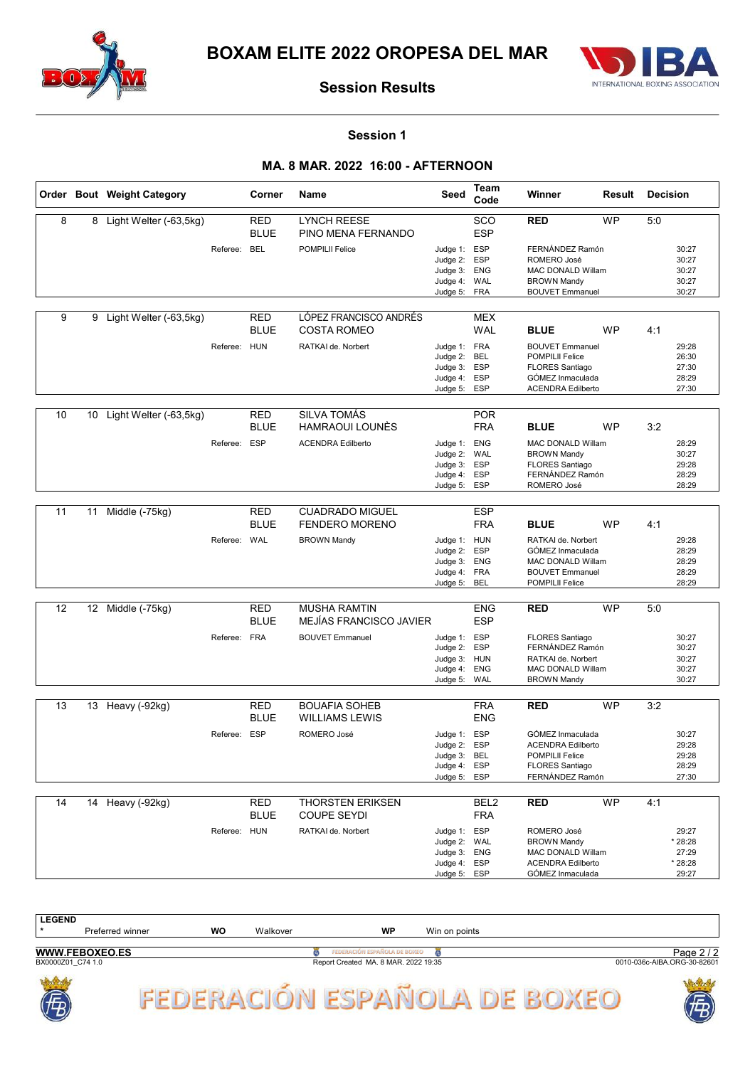



#### Session 1

### MA. 8 MAR. 2022 16:00 - AFTERNOON

|    |    | Order Bout Weight Category |              | Corner                    | Name                                           | Seed                                                                     | Team<br>Code                                  | Winner                                                                                                              | Result    | <b>Decision</b> |                                               |
|----|----|----------------------------|--------------|---------------------------|------------------------------------------------|--------------------------------------------------------------------------|-----------------------------------------------|---------------------------------------------------------------------------------------------------------------------|-----------|-----------------|-----------------------------------------------|
| 8  |    | 8 Light Welter (-63,5kg)   |              | <b>RED</b><br><b>BLUE</b> | <b>LYNCH REESE</b><br>PINO MENA FERNANDO       |                                                                          | SCO<br><b>ESP</b>                             | <b>RED</b>                                                                                                          | <b>WP</b> | 5:0             |                                               |
|    |    |                            | Referee: BEL |                           | <b>POMPILII Felice</b>                         | Judge 1:<br>Judge 2:<br>Judge 3: ENG<br>Judge 4:<br>Judge 5:             | <b>ESP</b><br><b>ESP</b><br>WAL<br>FRA        | FERNÁNDEZ Ramón<br>ROMERO José<br>MAC DONALD Willam<br><b>BROWN Mandy</b><br><b>BOUVET Emmanuel</b>                 |           |                 | 30:27<br>30:27<br>30:27<br>30:27<br>30:27     |
| 9  | 9  | Light Welter (-63,5kg)     |              | <b>RED</b><br><b>BLUE</b> | LÓPEZ FRANCISCO ANDRÉS<br><b>COSTA ROMEO</b>   |                                                                          | <b>MEX</b><br><b>WAL</b>                      | <b>BLUE</b>                                                                                                         | <b>WP</b> | 4:1             |                                               |
|    |    |                            | Referee: HUN |                           | RATKAI de. Norbert                             | Judge 1: FRA<br>Judge 2:<br>Judge 3:<br>Judge 4:<br>Judge 5:             | BEL<br><b>ESP</b><br><b>ESP</b><br><b>ESP</b> | <b>BOUVET Emmanuel</b><br>POMPILII Felice<br><b>FLORES Santiago</b><br>GÓMEZ Inmaculada<br><b>ACENDRA Edilberto</b> |           |                 | 29:28<br>26:30<br>27:30<br>28:29<br>27:30     |
| 10 | 10 | Light Welter (-63,5kg)     |              | <b>RED</b>                | <b>SILVA TOMÁS</b>                             |                                                                          | <b>POR</b>                                    |                                                                                                                     |           |                 |                                               |
|    |    |                            |              | <b>BLUE</b>               | HAMRAOUI LOUNES                                |                                                                          | <b>FRA</b>                                    | <b>BLUE</b>                                                                                                         | <b>WP</b> | 3:2             |                                               |
|    |    |                            | Referee: ESP |                           | <b>ACENDRA Edilberto</b>                       | Judge 1:<br>Judge 2: WAL<br>Judge 3:<br>Judge 4: ESP<br>Judge 5:         | <b>ENG</b><br><b>ESP</b><br><b>ESP</b>        | <b>MAC DONALD Willam</b><br><b>BROWN Mandy</b><br><b>FLORES Santiago</b><br>FERNÁNDEZ Ramón<br>ROMERO José          |           |                 | 28:29<br>30:27<br>29:28<br>28:29<br>28:29     |
| 11 | 11 | Middle (-75kg)             |              | <b>RED</b>                | <b>CUADRADO MIGUEL</b>                         |                                                                          | <b>ESP</b>                                    |                                                                                                                     |           |                 |                                               |
|    |    |                            |              | <b>BLUE</b>               | <b>FENDERO MORENO</b>                          |                                                                          | <b>FRA</b>                                    | <b>BLUE</b>                                                                                                         | <b>WP</b> | 4:1             |                                               |
|    |    |                            | Referee: WAL |                           | <b>BROWN Mandy</b>                             | Judge 1: HUN<br>Judge 2:<br>Judge 3:<br>Judge 4:<br>Judge 5:             | <b>ESP</b><br>ENG<br>FRA<br>BEL               | RATKAI de. Norbert<br>GÓMEZ Inmaculada<br>MAC DONALD Willam<br><b>BOUVET Emmanuel</b><br>POMPILII Felice            |           |                 | 29:28<br>28:29<br>28:29<br>28:29<br>28:29     |
| 12 |    | 12 Middle (-75kg)          |              | <b>RED</b><br><b>BLUE</b> | <b>MUSHA RAMTIN</b><br>MEJÍAS FRANCISCO JAVIER |                                                                          | <b>ENG</b><br><b>ESP</b>                      | <b>RED</b>                                                                                                          | <b>WP</b> | 5:0             |                                               |
|    |    |                            | Referee: FRA |                           | <b>BOUVET Emmanuel</b>                         | Judge 1:<br>Judge 2:<br>Judge 3: HUN<br>Judge 4:<br>Judge 5: WAL         | <b>ESP</b><br><b>ESP</b><br>ENG               | <b>FLORES Santiago</b><br>FERNÁNDEZ Ramón<br>RATKAI de. Norbert<br><b>MAC DONALD Willam</b><br><b>BROWN Mandy</b>   |           |                 | 30:27<br>30:27<br>30:27<br>30:27<br>30:27     |
| 13 |    | 13 Heavy (-92kg)           |              | <b>RED</b>                | <b>BOUAFIA SOHEB</b>                           |                                                                          | <b>FRA</b>                                    | <b>RED</b>                                                                                                          | <b>WP</b> | 3:2             |                                               |
|    |    |                            |              | <b>BLUE</b>               | <b>WILLIAMS LEWIS</b>                          |                                                                          | <b>ENG</b>                                    |                                                                                                                     |           |                 |                                               |
|    |    |                            | Referee: ESP |                           | ROMERO José                                    | Judge 1:<br>Judge 2:<br>Judge 3: BEL<br>Judge 4:<br>Judge 5:             | <b>ESP</b><br><b>ESP</b><br>ESP<br>ESP        | GÓMEZ Inmaculada<br><b>ACENDRA Edilberto</b><br>POMPILII Felice<br><b>FLORES Santiago</b><br>FERNÁNDEZ Ramón        |           |                 | 30:27<br>29:28<br>29:28<br>28:29<br>27:30     |
| 14 |    | 14 Heavy (-92kg)           |              | <b>RED</b><br><b>BLUE</b> | <b>THORSTEN ERIKSEN</b><br><b>COUPE SEYDI</b>  |                                                                          | BEL <sub>2</sub><br><b>FRA</b>                | <b>RED</b>                                                                                                          | <b>WP</b> | 4:1             |                                               |
|    |    |                            | Referee: HUN |                           | RATKAI de. Norbert                             | Judge 1: ESP<br>Judge 2: WAL<br>Judge 3:<br>Judge 4: ESP<br>Judge 5: ESP | <b>ENG</b>                                    | ROMERO José<br><b>BROWN Mandy</b><br>MAC DONALD Willam<br><b>ACENDRA Edilberto</b><br>GÓMEZ Inmaculada              |           |                 | 29:27<br>* 28:28<br>27:29<br>* 28:28<br>29:27 |

| <b>LEGEND</b>     |                       |    |          |                                      |               |                             |
|-------------------|-----------------------|----|----------|--------------------------------------|---------------|-----------------------------|
|                   | Preferred winner      | WO | Walkover | <b>WP</b>                            | Win on points |                             |
|                   | <b>WWW.FEBOXEO.ES</b> |    |          | FEDERACIÓN ESPAÑOLA DE BOXEO         |               | Page $2/2$                  |
| BX0000Z01 C74 1.0 |                       |    |          | Report Created MA. 8 MAR. 2022 19:35 |               | 0010-036c-AIBA.ORG-30-82601 |
| 高<br>E<br>D,      |                       |    |          |                                      |               | <b>ASSISTENT</b><br>Ë<br>க  |



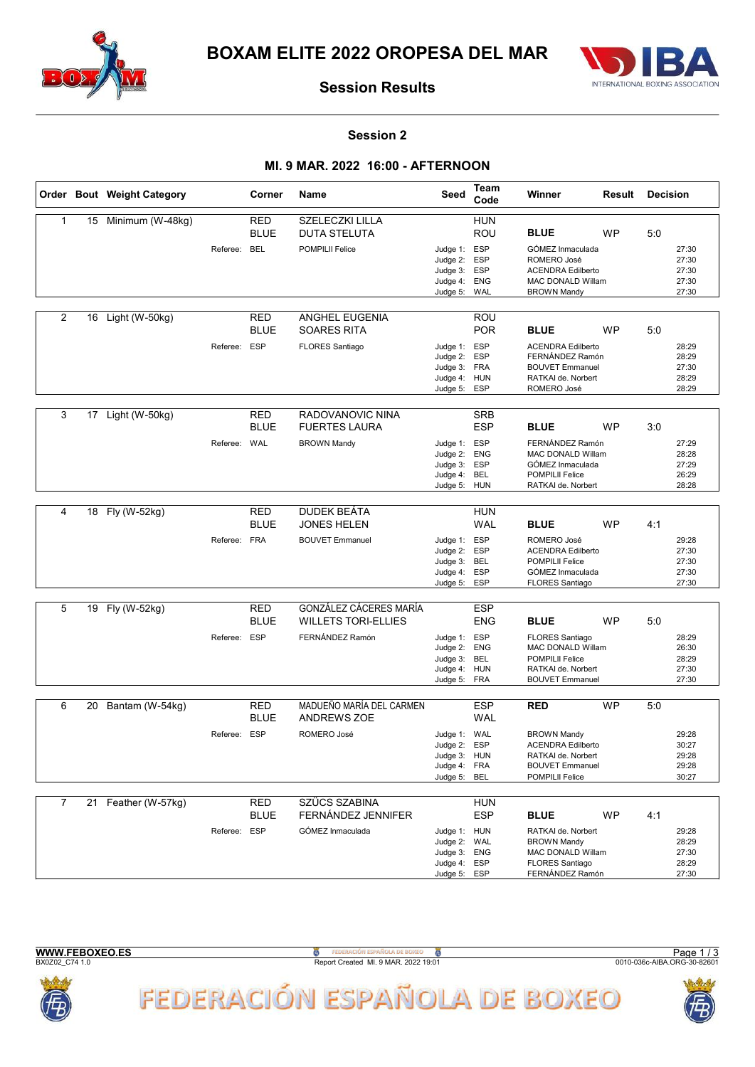



#### Session 2

### MI. 9 MAR. 2022 16:00 - AFTERNOON

|                |    | Order Bout Weight Category |              | Corner                           | <b>Name</b>                                                             | Seed                                                                     | Team<br>Code                                         | Winner                                                                                                                               | Result    | <b>Decision</b> |                                           |
|----------------|----|----------------------------|--------------|----------------------------------|-------------------------------------------------------------------------|--------------------------------------------------------------------------|------------------------------------------------------|--------------------------------------------------------------------------------------------------------------------------------------|-----------|-----------------|-------------------------------------------|
| $\mathbf{1}$   | 15 | Minimum (W-48kg)           | Referee:     | <b>RED</b><br><b>BLUE</b><br>BEL | SZELECZKI LILLA<br><b>DUTA STELUTA</b><br><b>POMPILII Felice</b>        | Judge 1: ESP<br>Judge 2:<br>Judge 3: ESP<br>Judge 4:<br>Judge 5:         | <b>HUN</b><br>ROU<br><b>ESP</b><br><b>ENG</b><br>WAL | <b>BLUE</b><br>GÓMEZ Inmaculada<br>ROMERO José<br><b>ACENDRA Edilberto</b><br>MAC DONALD Willam<br><b>BROWN Mandy</b>                | <b>WP</b> | 5:0             | 27:30<br>27:30<br>27:30<br>27:30<br>27:30 |
| 2              | 16 | Light (W-50kg)             | Referee: ESP | RED<br><b>BLUE</b>               | ANGHEL EUGENIA<br><b>SOARES RITA</b><br>FLORES Santiago                 | Judge 1: ESP<br>Judge 2:<br>Judge 3: FRA<br>Judge 4: HUN<br>Judge 5:     | ROU<br><b>POR</b><br><b>ESP</b><br>ESP               | <b>BLUE</b><br><b>ACENDRA Edilberto</b><br>FERNÁNDEZ Ramón<br><b>BOUVET Emmanuel</b><br>RATKAI de. Norbert<br>ROMERO José            | WP        | 5:0             | 28:29<br>28:29<br>27:30<br>28:29<br>28:29 |
| 3              | 17 | Light (W-50kg)             | Referee: WAL | <b>RED</b><br><b>BLUE</b>        | RADOVANOVIC NINA<br><b>FUERTES LAURA</b><br><b>BROWN Mandy</b>          | Judge 1: ESP<br>Judge 2:<br>Judge 3:<br>Judge 4: BEL<br>Judge 5: HUN     | <b>SRB</b><br><b>ESP</b><br><b>ENG</b><br><b>ESP</b> | <b>BLUE</b><br>FERNÁNDEZ Ramón<br><b>MAC DONALD Willam</b><br>GÓMEZ Inmaculada<br><b>POMPILII Felice</b><br>RATKAI de. Norbert       | <b>WP</b> | 3:0             | 27:29<br>28:28<br>27:29<br>26:29<br>28:28 |
| 4              |    | 18 Fly (W-52kg)            | Referee: FRA | <b>RED</b><br><b>BLUE</b>        | <b>DUDEK BEÁTA</b><br><b>JONES HELEN</b><br><b>BOUVET Emmanuel</b>      | Judge 1: ESP<br>Judge 2: ESP<br>Judge 3:<br>Judge 4:<br>Judge 5: ESP     | <b>HUN</b><br><b>WAL</b><br>BEL<br><b>ESP</b>        | <b>BLUE</b><br>ROMERO José<br><b>ACENDRA Edilberto</b><br><b>POMPILII Felice</b><br>GÓMEZ Inmaculada<br><b>FLORES Santiago</b>       | <b>WP</b> | 4:1             | 29:28<br>27:30<br>27:30<br>27:30<br>27:30 |
| 5              | 19 | Fly (W-52kg)               | Referee: ESP | <b>RED</b><br><b>BLUE</b>        | GONZÁLEZ CÁCERES MARÍA<br><b>WILLETS TORI-ELLIES</b><br>FERNÁNDEZ Ramón | Judge 1: ESP<br>Judge 2:<br>Judge 3:<br>Judge 4: HUN<br>Judge 5: FRA     | <b>ESP</b><br><b>ENG</b><br><b>ENG</b><br>BEL        | <b>BLUE</b><br><b>FLORES Santiago</b><br>MAC DONALD Willam<br><b>POMPILII Felice</b><br>RATKAI de. Norbert<br><b>BOUVET Emmanuel</b> | <b>WP</b> | 5:0             | 28:29<br>26:30<br>28:29<br>27:30<br>27:30 |
| 6              |    | 20 Bantam (W-54kg)         | Referee: ESP | <b>RED</b><br><b>BLUE</b>        | MADUEÑO MARÍA DEL CARMEN<br><b>ANDREWS ZOE</b><br>ROMERO José           | Judge 1: WAL<br>Judge 2: ESP<br>Judge 3: HUN<br>Judge 4: FRA<br>Judge 5: | <b>ESP</b><br><b>WAL</b><br>BEL                      | <b>RED</b><br><b>BROWN Mandv</b><br><b>ACENDRA Edilberto</b><br>RATKAI de. Norbert<br><b>BOUVET Emmanuel</b><br>POMPILII Felice      | <b>WP</b> | 5:0             | 29:28<br>30:27<br>29:28<br>29:28<br>30:27 |
| $\overline{7}$ | 21 | Feather (W-57kg)           | Referee: ESP | <b>RED</b><br><b>BLUE</b>        | <b>SZÜCS SZABINA</b><br>FERNÁNDEZ JENNIFER<br>GÓMEZ Inmaculada          | Judge 1: HUN<br>Judge 2: WAL<br>Judge 3: ENG<br>Judge 4: ESP<br>Judge 5: | <b>HUN</b><br><b>ESP</b><br>ESP                      | <b>BLUE</b><br>RATKAI de. Norbert<br><b>BROWN Mandy</b><br>MAC DONALD Willam<br><b>FLORES Santiago</b><br>FERNÁNDEZ Ramón            | WP        | 4:1             | 29:28<br>28:29<br>27:30<br>28:29<br>27:30 |



**B**<br>Report Created MI. 9 MAR. 2022 19:01





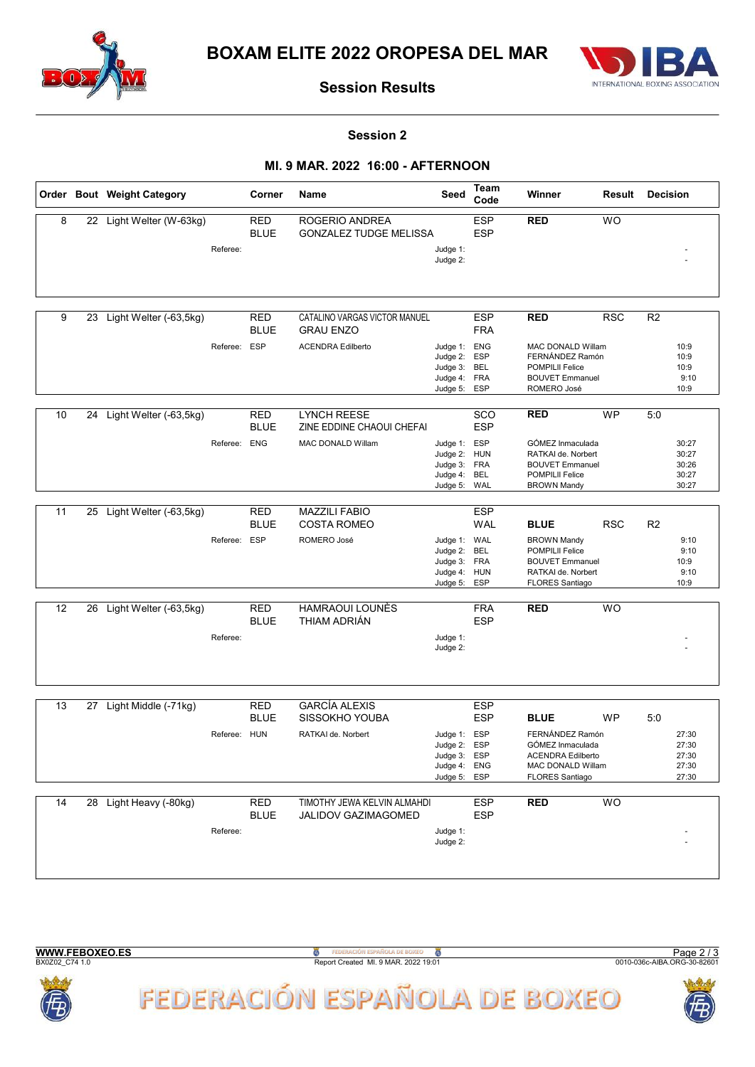



#### Session 2

### MI. 9 MAR. 2022 16:00 - AFTERNOON

|    |    | Order Bout Weight Category |              | Corner                    | Name                                               | Seed                                                                         | Team<br>Code             | Winner                                                                                                                 | Result     | <b>Decision</b>                           |
|----|----|----------------------------|--------------|---------------------------|----------------------------------------------------|------------------------------------------------------------------------------|--------------------------|------------------------------------------------------------------------------------------------------------------------|------------|-------------------------------------------|
| 8  |    | 22 Light Welter (W-63kg)   |              | <b>RED</b><br><b>BLUE</b> | ROGERIO ANDREA<br><b>GONZALEZ TUDGE MELISSA</b>    |                                                                              | <b>ESP</b><br><b>ESP</b> | <b>RED</b>                                                                                                             | <b>WO</b>  |                                           |
|    |    |                            | Referee:     |                           |                                                    | Judge 1:<br>Judge 2:                                                         |                          |                                                                                                                        |            |                                           |
| 9  | 23 | Light Welter (-63,5kg)     |              | <b>RED</b><br><b>BLUE</b> | CATALINO VARGAS VICTOR MANUEL<br><b>GRAU ENZO</b>  |                                                                              | <b>ESP</b><br><b>FRA</b> | <b>RED</b>                                                                                                             | <b>RSC</b> | R <sub>2</sub>                            |
|    |    |                            | Referee: ESP |                           | <b>ACENDRA Edilberto</b>                           | Judge 1: ENG<br>Judge 2: ESP<br>Judge 3: BEL<br>Judge 4: FRA<br>Judge 5: ESP |                          | MAC DONALD Willam<br>FERNÁNDEZ Ramón<br><b>POMPILII Felice</b><br><b>BOUVET Emmanuel</b><br>ROMERO José                |            | 10:9<br>10:9<br>10:9<br>9:10<br>10:9      |
| 10 | 24 | Light Welter (-63,5kg)     |              | <b>RED</b><br><b>BLUE</b> | <b>LYNCH REESE</b><br>ZINE EDDINE CHAOUI CHEFAI    |                                                                              | SCO<br><b>ESP</b>        | <b>RED</b>                                                                                                             | <b>WP</b>  | 5:0                                       |
|    |    |                            | Referee: ENG |                           | <b>MAC DONALD Willam</b>                           | Judge 1: ESP<br>Judge 2: HUN<br>Judge 3: FRA<br>Judge 4:<br>Judge 5:         | BEL<br>WAL               | GÓMEZ Inmaculada<br>RATKAI de. Norbert<br><b>BOUVET Emmanuel</b><br><b>POMPILII Felice</b><br><b>BROWN Mandy</b>       |            | 30:27<br>30:27<br>30:26<br>30:27<br>30:27 |
| 11 | 25 | Light Welter (-63,5kg)     |              | <b>RED</b><br><b>BLUE</b> | <b>MAZZILI FABIO</b><br><b>COSTA ROMEO</b>         |                                                                              | <b>ESP</b><br><b>WAL</b> | <b>BLUE</b>                                                                                                            | <b>RSC</b> | R <sub>2</sub>                            |
|    |    |                            | Referee: ESP |                           | ROMERO José                                        | Judge 1: WAL<br>Judge 2:<br>Judge 3: FRA<br>Judge 4: HUN<br>Judge 5: ESP     | BEL                      | <b>BROWN Mandy</b><br><b>POMPILII Felice</b><br><b>BOUVET Emmanuel</b><br>RATKAI de. Norbert<br><b>FLORES Santiago</b> |            | 9:10<br>9:10<br>10:9<br>9:10<br>10:9      |
| 12 |    | 26 Light Welter (-63,5kg)  |              | <b>RED</b><br><b>BLUE</b> | <b>HAMRAOUI LOUNÈS</b><br>THIAM ADRIÁN             |                                                                              | <b>FRA</b><br><b>ESP</b> | <b>RED</b>                                                                                                             | <b>WO</b>  |                                           |
|    |    |                            | Referee:     |                           |                                                    | Judge 1:<br>Judge 2:                                                         |                          |                                                                                                                        |            |                                           |
| 13 |    | 27 Light Middle (-71kg)    |              | <b>RED</b><br><b>BLUE</b> | <b>GARCÍA ALEXIS</b><br>SISSOKHO YOUBA             |                                                                              | <b>ESP</b><br><b>ESP</b> | <b>BLUE</b>                                                                                                            | <b>WP</b>  | 5:0                                       |
|    |    |                            | Referee: HUN |                           | RATKAI de. Norbert                                 | Judge 1: ESP<br>Judge 2:<br>Judge 3: ESP<br>Judge 4: ENG<br>Judge 5: ESP     | <b>ESP</b>               | FERNÁNDEZ Ramón<br>GÓMEZ Inmaculada<br><b>ACENDRA Edilberto</b><br>MAC DONALD Willam<br>FLORES Santiago                |            | 27:30<br>27:30<br>27:30<br>27:30<br>27:30 |
| 14 |    | 28 Light Heavy (-80kg)     | Referee:     | RED<br><b>BLUE</b>        | TIMOTHY JEWA KELVIN ALMAHDI<br>JALIDOV GAZIMAGOMED | Judge 1:<br>Judge 2:                                                         | <b>ESP</b><br><b>ESP</b> | <b>RED</b>                                                                                                             | <b>WO</b>  |                                           |
|    |    |                            |              |                           |                                                    |                                                                              |                          |                                                                                                                        |            |                                           |



WWW.FEBOXEO.ES

**B**<br>Report Created MI. 9 MAR. 2022 19:01



Page 2 / 3<br>0010-036c-AIBA.ORG-30-82601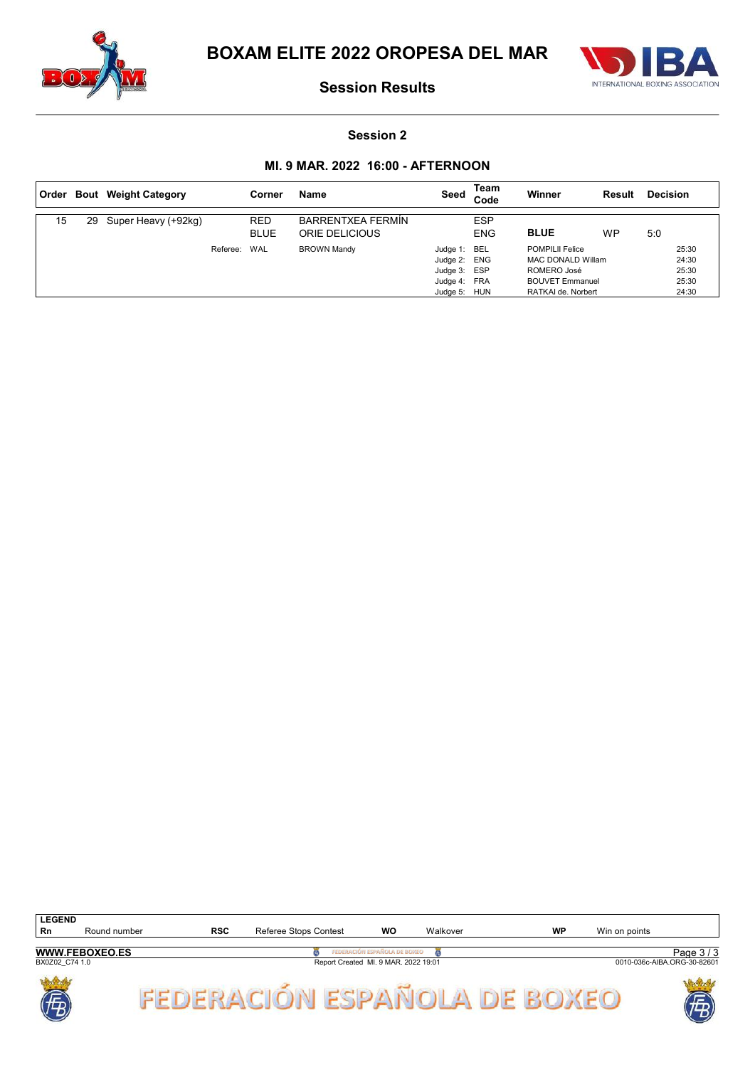



#### Session 2

### MI. 9 MAR. 2022 16:00 - AFTERNOON

| ∣ Order |    | <b>Bout</b> Weight Category |          | Corner                    | <b>Name</b>                                | Seed                                                                         | Team<br>Code             | Winner                                                                                                            | Result    | <b>Decision</b>                           |
|---------|----|-----------------------------|----------|---------------------------|--------------------------------------------|------------------------------------------------------------------------------|--------------------------|-------------------------------------------------------------------------------------------------------------------|-----------|-------------------------------------------|
| 15      | 29 | Super Heavy (+92kg)         |          | <b>RED</b><br><b>BLUE</b> | <b>BARRENTXEA FERMÍN</b><br>ORIE DELICIOUS |                                                                              | <b>ESP</b><br><b>ENG</b> | <b>BLUE</b>                                                                                                       | <b>WP</b> | 5:0                                       |
|         |    |                             | Referee: | <b>WAL</b>                | <b>BROWN Mandy</b>                         | Judge 1: BEL<br>Judge 2: ENG<br>Judge 3: ESP<br>Judge 4: FRA<br>Judge 5: HUN |                          | <b>POMPILII Felice</b><br><b>MAC DONALD Willam</b><br>ROMERO José<br><b>BOUVET Emmanuel</b><br>RATKAI de. Norbert |           | 25:30<br>24:30<br>25:30<br>25:30<br>24:30 |

| <b>LEGEND</b>  |                       |     |                       |                                      |          |    |               |                             |
|----------------|-----------------------|-----|-----------------------|--------------------------------------|----------|----|---------------|-----------------------------|
| Rn             | Round number          | RSC | Referee Stops Contest | WC                                   | Walkover | WP | Win on points |                             |
|                |                       |     |                       |                                      |          |    |               |                             |
|                | <b>WWW.FEBOXEO.ES</b> |     |                       | JÓN ESPAÑOLA DE BOXEO                |          |    |               | Page $3/\sim$               |
| BX0Z02 C74 1.0 |                       |     |                       | Report Created MI. 9 MAR. 2022 19:01 |          |    |               | 0010-036c-AIBA.ORG-30-82601 |

FEDERACIÓN ESPAÑOLA DE BOXEO



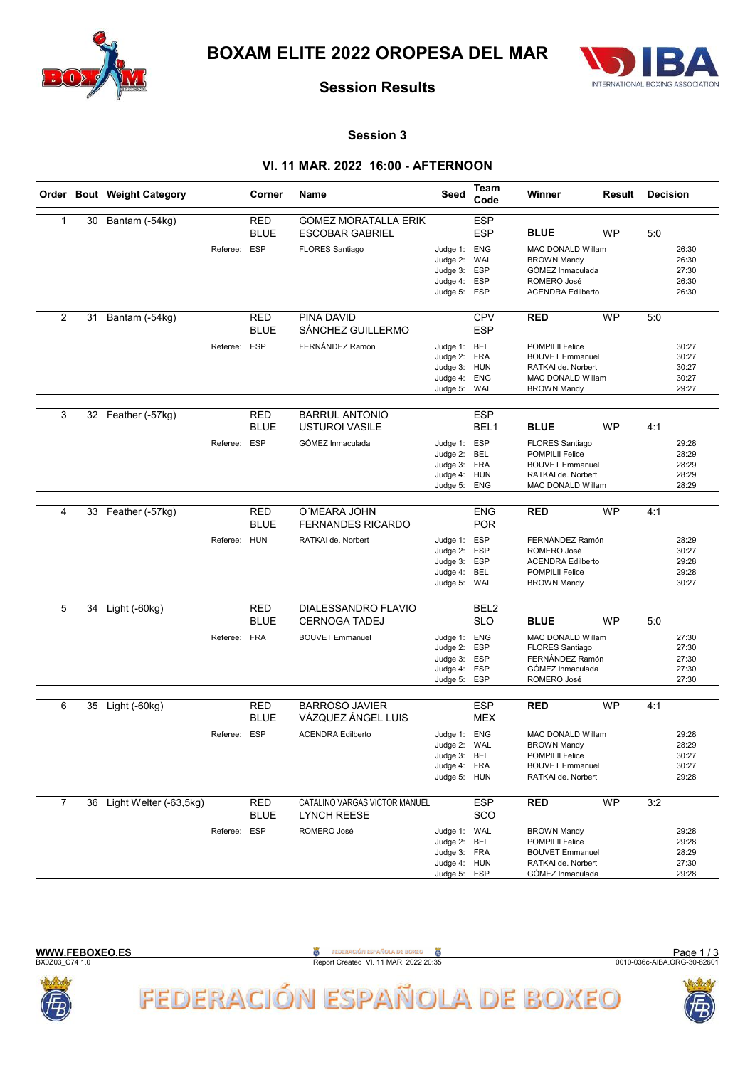



#### Session 3

### VI. 11 MAR. 2022 16:00 - AFTERNOON

|                |    | Order Bout Weight Category |              | Corner                    | Name                                                  | Seed                                                                         | Team<br>Code                           | Winner                                                                                                                   | Result    | <b>Decision</b> |                                           |
|----------------|----|----------------------------|--------------|---------------------------|-------------------------------------------------------|------------------------------------------------------------------------------|----------------------------------------|--------------------------------------------------------------------------------------------------------------------------|-----------|-----------------|-------------------------------------------|
| $\mathbf{1}$   | 30 | Bantam (-54kg)             |              | <b>RED</b><br><b>BLUE</b> | <b>GOMEZ MORATALLA ERIK</b><br><b>ESCOBAR GABRIEL</b> |                                                                              | <b>ESP</b><br><b>ESP</b>               | <b>BLUE</b>                                                                                                              | <b>WP</b> | 5:0             |                                           |
|                |    |                            | Referee: ESP |                           | <b>FLORES Santiago</b>                                | Judge 1: ENG<br>Judge 2:<br>Judge 3:<br>Judge 4:<br>Judge 5:                 | WAL<br>ESP<br>ESP<br>ESP               | <b>MAC DONALD Willam</b><br><b>BROWN Mandy</b><br>GÓMEZ Inmaculada<br>ROMERO José<br><b>ACENDRA Edilberto</b>            |           |                 | 26:30<br>26:30<br>27:30<br>26:30<br>26:30 |
| 2              | 31 | Bantam (-54kg)             |              | RED<br><b>BLUE</b>        | PINA DAVID<br>SÁNCHEZ GUILLERMO                       |                                                                              | <b>CPV</b><br><b>ESP</b>               | <b>RED</b>                                                                                                               | <b>WP</b> | 5:0             |                                           |
|                |    |                            | Referee: ESP |                           | FERNÁNDEZ Ramón                                       | Judge 1: BEL<br>Judge 2:<br>Judge 3: HUN<br>Judge 4:<br>Judge 5:             | <b>FRA</b><br><b>ENG</b><br>WAL        | <b>POMPILII Felice</b><br><b>BOUVET Emmanuel</b><br>RATKAI de. Norbert<br><b>MAC DONALD Willam</b><br><b>BROWN Mandy</b> |           |                 | 30:27<br>30:27<br>30:27<br>30:27<br>29:27 |
| 3              |    |                            |              | <b>RED</b>                | <b>BARRUL ANTONIO</b>                                 |                                                                              | <b>ESP</b>                             |                                                                                                                          |           |                 |                                           |
|                | 32 | Feather (-57kg)            |              | <b>BLUE</b>               | <b>USTUROI VASILE</b>                                 |                                                                              | BEL <sub>1</sub>                       | <b>BLUE</b>                                                                                                              | <b>WP</b> | 4:1             |                                           |
|                |    |                            | Referee:     | ESP                       | GÓMEZ Inmaculada                                      | Judge 1: ESP<br>Judge 2:<br>Judge 3:<br>Judge 4: HUN<br>Judge 5:             | BEL<br><b>FRA</b><br>ENG               | <b>FLORES Santiago</b><br><b>POMPILII Felice</b><br><b>BOUVET Emmanuel</b><br>RATKAI de. Norbert<br>MAC DONALD Willam    |           |                 | 29:28<br>28:29<br>28:29<br>28:29<br>28:29 |
| $\overline{4}$ | 33 | Feather (-57kg)            |              | <b>RED</b>                | O'MEARA JOHN                                          |                                                                              | <b>ENG</b>                             | <b>RED</b>                                                                                                               | <b>WP</b> | 4:1             |                                           |
|                |    |                            |              | <b>BLUE</b>               | <b>FERNANDES RICARDO</b>                              |                                                                              | <b>POR</b>                             |                                                                                                                          |           |                 |                                           |
|                |    |                            | Referee: HUN |                           | RATKAI de. Norbert                                    | Judge 1: ESP<br>Judge 2:<br>Judge 3:<br>Judge 4:<br>Judge 5:                 | <b>ESP</b><br><b>ESP</b><br>BEL<br>WAL | FERNÁNDEZ Ramón<br>ROMERO José<br><b>ACENDRA Edilberto</b><br>POMPILII Felice<br><b>BROWN Mandy</b>                      |           |                 | 28:29<br>30:27<br>29:28<br>29:28<br>30:27 |
|                |    |                            |              |                           |                                                       |                                                                              |                                        |                                                                                                                          |           |                 |                                           |
| 5              | 34 | Light (-60kg)              |              | <b>RED</b><br><b>BLUE</b> | DIALESSANDRO FLAVIO<br><b>CERNOGA TADEJ</b>           |                                                                              | BEL <sub>2</sub><br><b>SLO</b>         | <b>BLUE</b>                                                                                                              | <b>WP</b> | 5:0             |                                           |
|                |    |                            | Referee: FRA |                           | <b>BOUVET Emmanuel</b>                                | Judge 1: ENG<br>Judge 2:<br>Judge 3:<br>Judge 4:<br>Judge 5:                 | <b>ESP</b><br><b>ESP</b><br>ESP<br>ESP | <b>MAC DONALD Willam</b><br><b>FLORES Santiago</b><br>FERNÁNDEZ Ramón<br>GÓMEZ Inmaculada<br>ROMERO José                 |           |                 | 27:30<br>27:30<br>27:30<br>27:30<br>27:30 |
| 6              |    | 35 Light (-60kg)           |              | <b>RED</b>                | <b>BARROSO JAVIER</b>                                 |                                                                              | <b>ESP</b>                             | <b>RED</b>                                                                                                               | <b>WP</b> | 4:1             |                                           |
|                |    |                            |              | <b>BLUE</b>               | VÁZQUEZ ÁNGEL LUIS                                    |                                                                              | <b>MEX</b>                             |                                                                                                                          |           |                 |                                           |
|                |    |                            | Referee: ESP |                           | <b>ACENDRA Edilberto</b>                              | Judge 1: ENG<br>Judge 2: WAL<br>Judge 3: BEL<br>Judge 4: FRA<br>Judge 5: HUN |                                        | <b>MAC DONALD Willam</b><br><b>BROWN Mandy</b><br>POMPILII Felice<br><b>BOUVET Emmanuel</b><br>RATKAI de. Norbert        |           |                 | 29:28<br>28:29<br>30:27<br>30:27<br>29:28 |
| $\overline{7}$ | 36 | Light Welter (-63,5kg)     |              | <b>RED</b><br>BLUE        | CATALINO VARGAS VICTOR MANUEL<br><b>LYNCH REESE</b>   |                                                                              | <b>ESP</b><br>SCO                      | <b>RED</b>                                                                                                               | <b>WP</b> | 3:2             |                                           |
|                |    |                            | Referee: ESP |                           | ROMERO José                                           | Judge 1: WAL<br>Judge 2:<br>Judge 3: FRA<br>Judge 4: HUN<br>Judge 5:         | BEL<br>ESP                             | <b>BROWN Mandy</b><br>POMPILII Felice<br><b>BOUVET Emmanuel</b><br>RATKAI de. Norbert<br>GÓMEZ Inmaculada                |           |                 | 29:28<br>29:28<br>28:29<br>27:30<br>29:28 |

| <b>WWW.FEBOXEO.ES</b> |  |  |  |  |  |  |
|-----------------------|--|--|--|--|--|--|
| <b>DVAZA? C74.1.0</b> |  |  |  |  |  |  |

**S**<br>
BALL THE Report Created VI. 11 MAR. 2022 20:35<br>
Report Created VI. 11 MAR. 2022 20:35





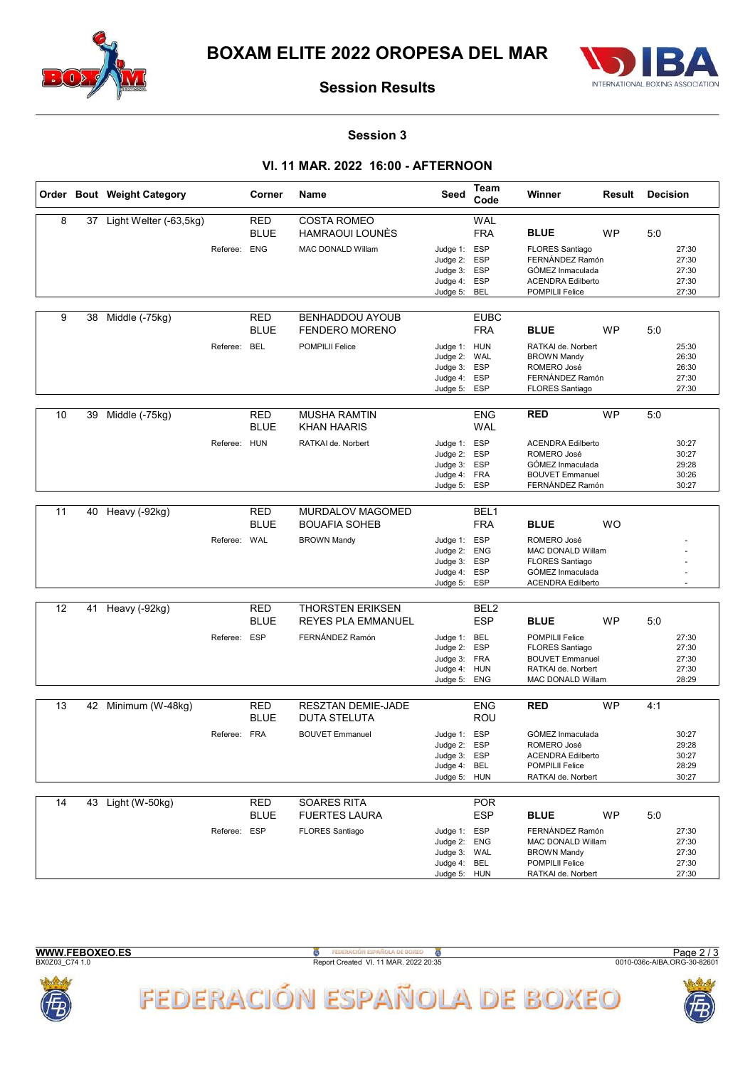



#### Session 3

### VI. 11 MAR. 2022 16:00 - AFTERNOON

|    |    | Order Bout Weight Category |              | Corner                    | Name                                                 | Seed                                                                         | Team<br>Code                    | Winner                                                                                                                | Result    | <b>Decision</b> |                                           |
|----|----|----------------------------|--------------|---------------------------|------------------------------------------------------|------------------------------------------------------------------------------|---------------------------------|-----------------------------------------------------------------------------------------------------------------------|-----------|-----------------|-------------------------------------------|
| 8  |    | 37 Light Welter (-63,5kg)  |              | <b>RED</b>                | <b>COSTA ROMEO</b>                                   |                                                                              | <b>WAL</b>                      |                                                                                                                       |           |                 |                                           |
|    |    |                            |              | <b>BLUE</b>               | <b>HAMRAOUI LOUNÈS</b>                               |                                                                              | <b>FRA</b>                      | <b>BLUE</b>                                                                                                           | <b>WP</b> | 5:0             |                                           |
|    |    |                            | Referee:     | <b>ENG</b>                | <b>MAC DONALD Willam</b>                             | Judge 1: ESP<br>Judge 2:<br>Judge 3: ESP<br>Judge 4:<br>Judge 5:             | <b>ESP</b><br><b>ESP</b><br>BEL | <b>FLORES Santiago</b><br>FERNÁNDEZ Ramón<br>GÓMEZ Inmaculada<br><b>ACENDRA Edilberto</b><br>POMPILII Felice          |           |                 | 27:30<br>27:30<br>27:30<br>27:30<br>27:30 |
|    |    |                            |              |                           |                                                      |                                                                              |                                 |                                                                                                                       |           |                 |                                           |
| 9  | 38 | Middle (-75kg)             |              | <b>RED</b><br><b>BLUE</b> | <b>BENHADDOU AYOUB</b><br><b>FENDERO MORENO</b>      |                                                                              | <b>EUBC</b><br><b>FRA</b>       | <b>BLUE</b>                                                                                                           | <b>WP</b> | 5:0             |                                           |
|    |    |                            | Referee: BEL |                           | <b>POMPILII Felice</b>                               | Judge 1: HUN<br>Judge 2:<br>Judge 3:<br>Judge 4: ESP<br>Judge 5:             | WAL<br><b>ESP</b><br><b>ESP</b> | RATKAI de. Norbert<br><b>BROWN Mandy</b><br>ROMERO José<br>FERNÁNDEZ Ramón<br><b>FLORES Santiago</b>                  |           |                 | 25:30<br>26:30<br>26:30<br>27:30<br>27:30 |
| 10 |    |                            |              |                           |                                                      |                                                                              | <b>ENG</b>                      | <b>RED</b>                                                                                                            | <b>WP</b> |                 |                                           |
|    | 39 | Middle (-75kg)             |              | RED<br><b>BLUE</b>        | <b>MUSHA RAMTIN</b><br><b>KHAN HAARIS</b>            |                                                                              | <b>WAL</b>                      |                                                                                                                       |           | 5:0             |                                           |
|    |    |                            | Referee: HUN |                           | RATKAI de. Norbert                                   | Judge 1:<br>Judge 2: ESP<br>Judge 3: ESP<br>Judge 4: FRA<br>Judge 5:         | ESP<br><b>ESP</b>               | <b>ACENDRA Edilberto</b><br>ROMERO José<br>GÓMEZ Inmaculada<br><b>BOUVET Emmanuel</b><br>FERNÁNDEZ Ramón              |           |                 | 30:27<br>30:27<br>29:28<br>30:26<br>30:27 |
| 11 |    | 40 Heavy (-92kg)           |              | <b>RED</b>                | MURDALOV MAGOMED                                     |                                                                              | BEL <sub>1</sub>                |                                                                                                                       |           |                 |                                           |
|    |    |                            |              | <b>BLUE</b>               | <b>BOUAFIA SOHEB</b>                                 |                                                                              | <b>FRA</b>                      | <b>BLUE</b>                                                                                                           | <b>WO</b> |                 |                                           |
|    |    |                            | Referee: WAL |                           | <b>BROWN Mandy</b>                                   | Judge 1: ESP<br>Judge 2: ENG<br>Judge 3:<br>Judge 4:<br>Judge 5:             | <b>ESP</b><br>ESP<br><b>ESP</b> | ROMERO José<br><b>MAC DONALD Willam</b><br><b>FLORES Santiago</b><br>GÓMEZ Inmaculada<br><b>ACENDRA Edilberto</b>     |           |                 |                                           |
|    |    |                            |              |                           |                                                      |                                                                              |                                 |                                                                                                                       |           |                 |                                           |
| 12 | 41 | Heavy (-92kg)              |              | RED<br><b>BLUE</b>        | <b>THORSTEN ERIKSEN</b><br><b>REYES PLA EMMANUEL</b> |                                                                              | BEL <sub>2</sub><br><b>ESP</b>  | <b>BLUE</b>                                                                                                           | <b>WP</b> | 5:0             |                                           |
|    |    |                            | Referee: ESP |                           | FERNÁNDEZ Ramón                                      | Judge 1: BEL<br>Judge 2:<br>Judge 3: FRA<br>Judge 4: HUN<br>Judge 5:         | <b>ESP</b><br>ENG               | <b>POMPILII Felice</b><br><b>FLORES Santiago</b><br><b>BOUVET Emmanuel</b><br>RATKAI de. Norbert<br>MAC DONALD Willam |           |                 | 27:30<br>27:30<br>27:30<br>27:30<br>28:29 |
| 13 |    | 42 Minimum (W-48kg)        |              | <b>RED</b>                | <b>RESZTAN DEMIE-JADE</b>                            |                                                                              | <b>ENG</b>                      | <b>RED</b>                                                                                                            | <b>WP</b> | 4:1             |                                           |
|    |    |                            |              | <b>BLUE</b>               | <b>DUTA STELUTA</b>                                  |                                                                              | ROU                             |                                                                                                                       |           |                 |                                           |
|    |    |                            | Referee: FRA |                           | <b>BOUVET Emmanuel</b>                               | Judge 1:<br>Judge 2: ESP<br>Judge 3: ESP<br>Judge 4: BEL<br>Judge 5:         | ESP<br><b>HUN</b>               | GÓMEZ Inmaculada<br>ROMERO José<br><b>ACENDRA Edilberto</b><br>POMPILII Felice<br>RATKAI de. Norbert                  |           |                 | 30:27<br>29:28<br>30:27<br>28:29<br>30:27 |
| 14 |    | 43 Light (W-50kg)          |              | <b>RED</b><br><b>BLUE</b> | <b>SOARES RITA</b>                                   |                                                                              | <b>POR</b><br><b>ESP</b>        |                                                                                                                       |           |                 |                                           |
|    |    |                            | Referee: ESP |                           | <b>FUERTES LAURA</b><br>FLORES Santiago              | Judge 1: ESP<br>Judge 2: ENG<br>Judge 3: WAL<br>Judge 4: BEL<br>Judge 5: HUN |                                 | <b>BLUE</b><br>FERNÁNDEZ Ramón<br>MAC DONALD Willam<br><b>BROWN Mandy</b><br>POMPILII Felice<br>RATKAI de. Norbert    | WP        | 5:0             | 27:30<br>27:30<br>27:30<br>27:30<br>27:30 |



**B**<br>Report Created VI. 11 MAR. 2022 20:35

FEDERACIÓN ESPAÑOLA DE BOXEO

Page 2 / 3<br>0010-036c-AIBA.ORG-30-82601

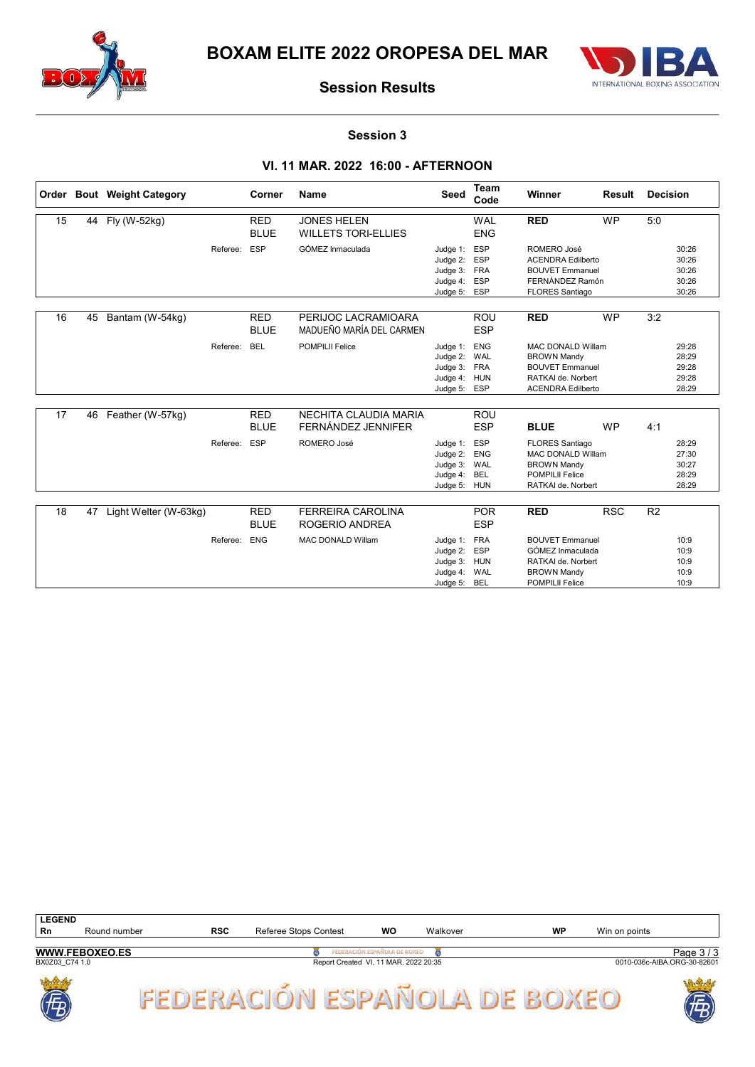



#### Session 3

### VI. 11 MAR. 2022 16:00 - AFTERNOON

|    |    | Order Bout Weight Category |          | Corner                    | <b>Name</b>                                      | Seed                                                                     | <b>Team</b><br>Code                                  | Winner                                                                                                                     | <b>Result</b> | <b>Decision</b> |                                           |
|----|----|----------------------------|----------|---------------------------|--------------------------------------------------|--------------------------------------------------------------------------|------------------------------------------------------|----------------------------------------------------------------------------------------------------------------------------|---------------|-----------------|-------------------------------------------|
| 15 | 44 | Fly (W-52kg)               |          | <b>RED</b><br><b>BLUE</b> | <b>JONES HELEN</b><br><b>WILLETS TORI-ELLIES</b> |                                                                          | <b>WAL</b><br><b>ENG</b>                             | <b>RED</b>                                                                                                                 | <b>WP</b>     | 5:0             |                                           |
|    |    |                            | Referee: | <b>ESP</b>                | GÓMEZ Inmaculada                                 | Judge 1:<br>Judge 2:<br>Judge 3:<br>Judge 4:<br>Judge 5: ESP             | <b>ESP</b><br><b>ESP</b><br><b>FRA</b><br><b>ESP</b> | ROMERO José<br><b>ACENDRA Edilberto</b><br><b>BOUVET Emmanuel</b><br>FERNÁNDEZ Ramón<br><b>FLORES Santiago</b>             |               |                 | 30:26<br>30:26<br>30:26<br>30:26<br>30:26 |
| 16 | 45 | Bantam (W-54kg)            |          | <b>RED</b><br><b>BLUE</b> | PERIJOC LACRAMIOARA<br>MADUEÑO MARÍA DEL CARMEN  |                                                                          | <b>ROU</b><br><b>ESP</b>                             | <b>RED</b>                                                                                                                 | <b>WP</b>     | 3:2             |                                           |
|    |    |                            | Referee: | <b>BEL</b>                | <b>POMPILII Felice</b>                           | Judge 1:<br>Judge 2: WAL<br>Judge 3: FRA<br>Judge 4: HUN<br>Judge 5: ESP | <b>ENG</b>                                           | <b>MAC DONALD Willam</b><br><b>BROWN Mandy</b><br><b>BOUVET Emmanuel</b><br>RATKAI de. Norbert<br><b>ACENDRA Edilberto</b> |               |                 | 29:28<br>28:29<br>29:28<br>29:28<br>28:29 |
| 17 | 46 | Feather (W-57kg)           |          | <b>RED</b><br><b>BLUE</b> | NECHITA CLAUDIA MARIA<br>FERNÁNDEZ JENNIFER      |                                                                          | <b>ROU</b><br><b>ESP</b>                             | <b>BLUE</b>                                                                                                                | <b>WP</b>     | 4:1             |                                           |
|    |    |                            | Referee: | <b>ESP</b>                | ROMERO José                                      | Judge 1:<br>Judge 2:<br>Judge 3: WAL<br>Judge 4:<br>Judge 5:             | <b>ESP</b><br><b>ENG</b><br><b>BEL</b><br><b>HUN</b> | <b>FLORES Santiago</b><br><b>MAC DONALD Willam</b><br><b>BROWN Mandy</b><br><b>POMPILII Felice</b><br>RATKAI de. Norbert   |               |                 | 28:29<br>27:30<br>30:27<br>28:29<br>28:29 |
| 18 | 47 | Light Welter (W-63kg)      |          | <b>RED</b>                | <b>FERREIRA CAROLINA</b>                         |                                                                          | <b>POR</b>                                           | <b>RED</b>                                                                                                                 | <b>RSC</b>    | R <sub>2</sub>  |                                           |
|    |    |                            |          | <b>BLUE</b>               | ROGERIO ANDREA                                   |                                                                          | <b>ESP</b>                                           |                                                                                                                            |               |                 |                                           |
|    |    |                            | Referee: | <b>ENG</b>                | <b>MAC DONALD Willam</b>                         | Judge 1:<br>Judge 2:<br>Judge 3:<br>Judge 4:<br>Judge 5:                 | FRA<br>ESP<br><b>HUN</b><br>WAL<br><b>BEL</b>        | <b>BOUVET Emmanuel</b><br>GÓMEZ Inmaculada<br>RATKAI de. Norbert<br><b>BROWN Mandy</b><br><b>POMPILII Felice</b>           |               |                 | 10:9<br>10:9<br>10:9<br>10:9<br>10:9      |

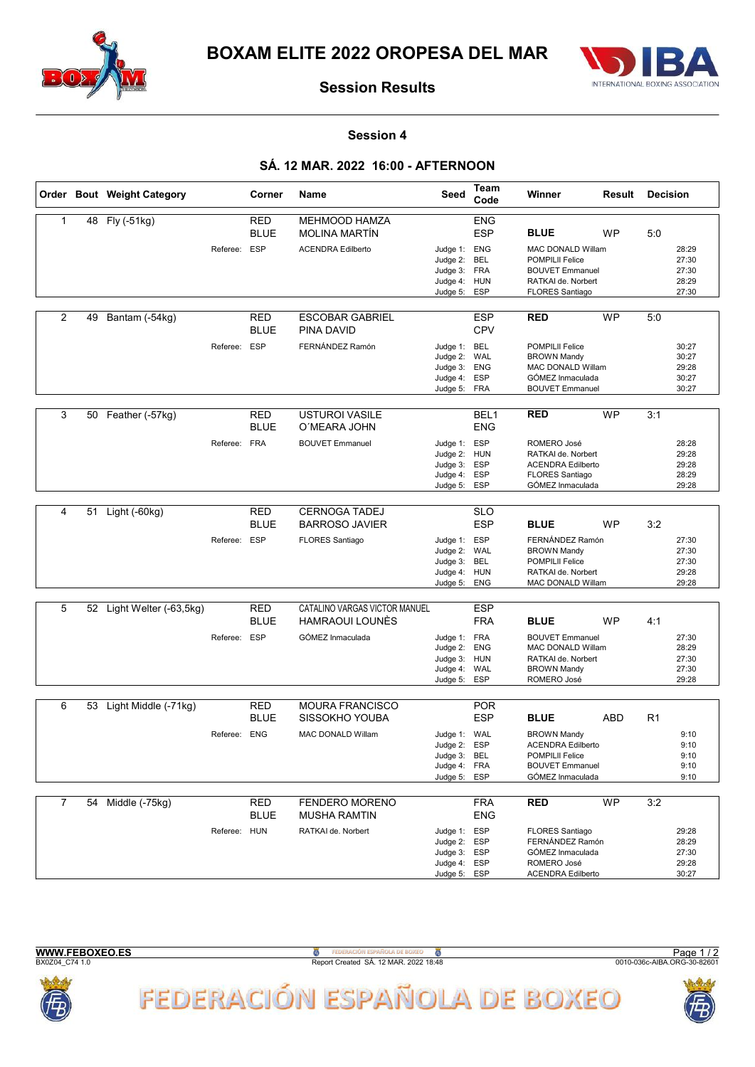



#### Session 4

### SÁ. 12 MAR. 2022 16:00 - AFTERNOON

|                |    | Order Bout Weight Category |              | Corner                    | <b>Name</b>                                  | Seed                         | Team<br>Code             | Winner                                       | Result    | <b>Decision</b> |                |
|----------------|----|----------------------------|--------------|---------------------------|----------------------------------------------|------------------------------|--------------------------|----------------------------------------------|-----------|-----------------|----------------|
| $\mathbf{1}$   |    | 48 Fly (-51kg)             |              | <b>RED</b>                | <b>MEHMOOD HAMZA</b>                         |                              | <b>ENG</b>               |                                              |           |                 |                |
|                |    |                            |              | <b>BLUE</b>               | <b>MOLINA MARTIN</b>                         |                              | <b>ESP</b>               | <b>BLUE</b>                                  | <b>WP</b> | 5:0             |                |
|                |    |                            | Referee: ESP |                           | <b>ACENDRA Edilberto</b>                     | Judge 1: ENG                 |                          | MAC DONALD Willam                            |           |                 | 28:29          |
|                |    |                            |              |                           |                                              | Judge 2:                     | BEL                      | <b>POMPILII Felice</b>                       |           |                 | 27:30          |
|                |    |                            |              |                           |                                              | Judge 3: FRA                 |                          | <b>BOUVET Emmanuel</b>                       |           |                 | 27:30          |
|                |    |                            |              |                           |                                              | Judge 4:                     | <b>HUN</b>               | RATKAI de. Norbert                           |           |                 | 28:29          |
|                |    |                            |              |                           |                                              | Judge 5:                     | <b>ESP</b>               | <b>FLORES Santiago</b>                       |           |                 | 27:30          |
| 2              | 49 | Bantam (-54kg)             |              | <b>RED</b>                | <b>ESCOBAR GABRIEL</b>                       |                              | <b>ESP</b>               | <b>RED</b>                                   | <b>WP</b> | 5:0             |                |
|                |    |                            |              | <b>BLUE</b>               | PINA DAVID                                   |                              | <b>CPV</b>               |                                              |           |                 |                |
|                |    |                            | Referee: ESP |                           | FERNÁNDEZ Ramón                              | Judge 1: BEL                 |                          | <b>POMPILII Felice</b>                       |           |                 | 30:27          |
|                |    |                            |              |                           |                                              | Judge 2:                     | WAL                      | <b>BROWN Mandy</b>                           |           |                 | 30:27          |
|                |    |                            |              |                           |                                              | Judge 3:                     | <b>ENG</b>               | MAC DONALD Willam                            |           |                 | 29:28          |
|                |    |                            |              |                           |                                              | Judge 4: ESP                 |                          | GÓMEZ Inmaculada                             |           |                 | 30:27          |
|                |    |                            |              |                           |                                              | Judge 5: FRA                 |                          | <b>BOUVET Emmanuel</b>                       |           |                 | 30:27          |
| 3              | 50 | Feather (-57kg)            |              | <b>RED</b>                | <b>USTUROI VASILE</b>                        |                              | BEL <sub>1</sub>         | <b>RED</b>                                   | <b>WP</b> | 3:1             |                |
|                |    |                            |              | <b>BLUE</b>               | O'MEARA JOHN                                 |                              | <b>ENG</b>               |                                              |           |                 |                |
|                |    |                            | Referee: FRA |                           | <b>BOUVET Emmanuel</b>                       | Judge 1: ESP                 |                          | ROMERO José                                  |           |                 | 28:28          |
|                |    |                            |              |                           |                                              | Judge 2: HUN                 |                          | RATKAI de. Norbert                           |           |                 | 29:28          |
|                |    |                            |              |                           |                                              | Judge 3:                     | <b>ESP</b>               | <b>ACENDRA Edilberto</b>                     |           |                 | 29:28          |
|                |    |                            |              |                           |                                              | Judge 4: ESP                 |                          | <b>FLORES Santiago</b>                       |           |                 | 28:29          |
|                |    |                            |              |                           |                                              | Judge 5:                     | ESP                      | GÓMEZ Inmaculada                             |           |                 | 29:28          |
| 4              | 51 | Light (-60kg)              |              | RED                       | <b>CERNOGA TADEJ</b>                         |                              | <b>SLO</b>               |                                              |           |                 |                |
|                |    |                            |              | <b>BLUE</b>               | <b>BARROSO JAVIER</b>                        |                              | <b>ESP</b>               | <b>BLUE</b>                                  | <b>WP</b> | 3:2             |                |
|                |    |                            |              |                           |                                              |                              |                          |                                              |           |                 |                |
|                |    |                            | Referee: ESP |                           | <b>FLORES Santiago</b>                       | Judge 1: ESP                 |                          | FERNÁNDEZ Ramón                              |           |                 | 27:30          |
|                |    |                            |              |                           |                                              | Judge 2:<br>Judge 3:         | WAL<br>BEL               | <b>BROWN Mandy</b><br><b>POMPILII Felice</b> |           |                 | 27:30<br>27:30 |
|                |    |                            |              |                           |                                              | Judge 4: HUN                 |                          | RATKAI de. Norbert                           |           |                 | 29:28          |
|                |    |                            |              |                           |                                              | Judge 5: ENG                 |                          | MAC DONALD Willam                            |           |                 | 29:28          |
|                |    |                            |              |                           |                                              |                              |                          |                                              |           |                 |                |
| 5              | 52 | Light Welter (-63,5kg)     |              | <b>RED</b>                | CATALINO VARGAS VICTOR MANUEL                |                              | <b>ESP</b>               |                                              |           |                 |                |
|                |    |                            |              | <b>BLUE</b>               | HAMRAOUI LOUNÈS                              |                              | <b>FRA</b>               | <b>BLUE</b>                                  | <b>WP</b> | 4:1             |                |
|                |    |                            | Referee: ESP |                           | GÓMEZ Inmaculada                             | Judge 1: FRA                 |                          | <b>BOUVET Emmanuel</b>                       |           |                 | 27:30          |
|                |    |                            |              |                           |                                              | Judge 2:                     | <b>ENG</b>               | MAC DONALD Willam<br>RATKAI de. Norbert      |           |                 | 28:29<br>27:30 |
|                |    |                            |              |                           |                                              | Judge 3: HUN<br>Judge 4:     | WAL                      | <b>BROWN Mandy</b>                           |           |                 | 27:30          |
|                |    |                            |              |                           |                                              | Judge 5: ESP                 |                          | ROMERO José                                  |           |                 | 29:28          |
|                |    |                            |              |                           |                                              |                              |                          |                                              |           |                 |                |
| 6              |    | 53 Light Middle (-71kg)    |              | <b>RED</b>                | <b>MOURA FRANCISCO</b>                       |                              | <b>POR</b>               |                                              |           |                 |                |
|                |    |                            |              | <b>BLUE</b>               | SISSOKHO YOUBA                               |                              | <b>ESP</b>               | <b>BLUE</b>                                  | ABD       | R <sub>1</sub>  |                |
|                |    |                            | Referee: ENG |                           | MAC DONALD Willam                            | Judge 1: WAL                 |                          | <b>BROWN Mandy</b>                           |           |                 | 9:10           |
|                |    |                            |              |                           |                                              | Judge 2: ESP<br>Judge 3: BEL |                          | <b>ACENDRA Edilberto</b><br>POMPILII Felice  |           |                 | 9:10<br>9:10   |
|                |    |                            |              |                           |                                              | Judge 4: FRA                 |                          | <b>BOUVET Emmanuel</b>                       |           |                 | 9:10           |
|                |    |                            |              |                           |                                              | Judge 5:                     | ESP                      | GÓMEZ Inmaculada                             |           |                 | 9:10           |
|                |    |                            |              |                           |                                              |                              |                          |                                              |           |                 |                |
| $\overline{7}$ | 54 | Middle (-75kg)             |              | <b>RED</b><br><b>BLUE</b> | <b>FENDERO MORENO</b><br><b>MUSHA RAMTIN</b> |                              | <b>FRA</b><br><b>ENG</b> | <b>RED</b>                                   | <b>WP</b> | 3:2             |                |
|                |    |                            |              |                           |                                              |                              |                          |                                              |           |                 |                |
|                |    |                            | Referee: HUN |                           | RATKAI de. Norbert                           | Judge 1: ESP<br>Judge 2: ESP |                          | <b>FLORES Santiago</b><br>FERNÁNDEZ Ramón    |           |                 | 29:28<br>28:29 |
|                |    |                            |              |                           |                                              | Judge 3: ESP                 |                          | GÓMEZ Inmaculada                             |           |                 | 27:30          |
|                |    |                            |              |                           |                                              | Judge 4: ESP                 |                          | ROMERO José                                  |           |                 | 29:28          |
|                |    |                            |              |                           |                                              | Judge 5:                     | ESP                      | <b>ACENDRA Edilberto</b>                     |           |                 | 30:27          |
|                |    |                            |              |                           |                                              |                              |                          |                                              |           |                 |                |



**B**<br>Report Created SÁ. 12 MAR. 2022 18:48





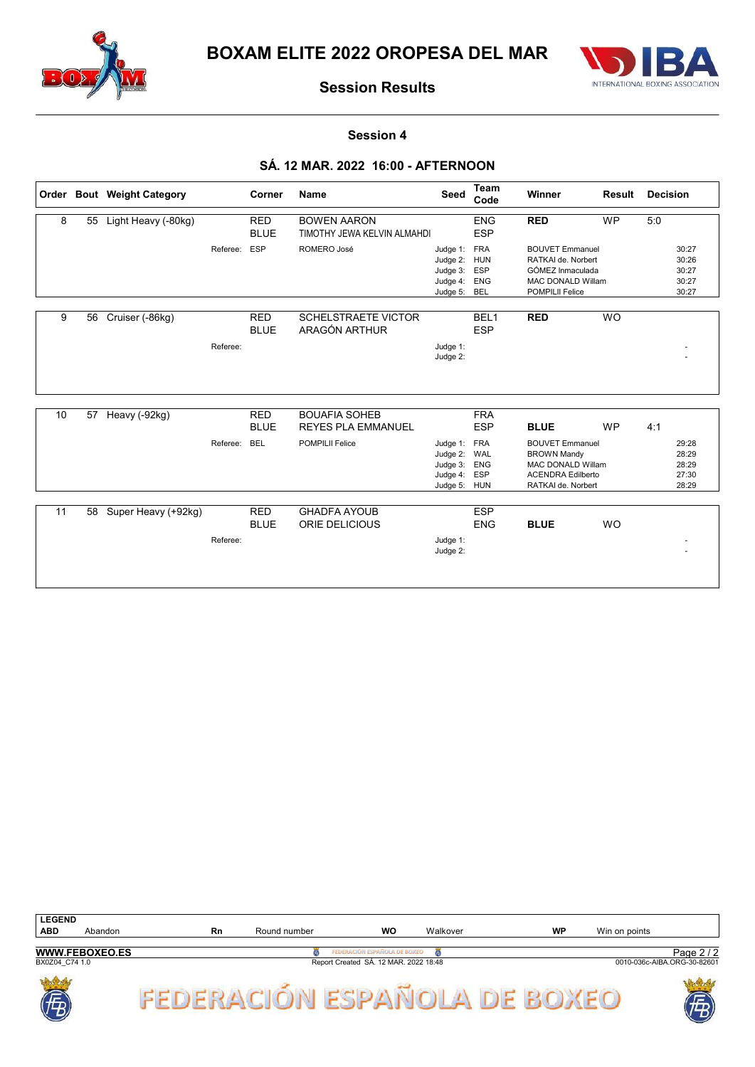



#### Session 4

### SÁ. 12 MAR. 2022 16:00 - AFTERNOON

|    |    | Order Bout Weight Category |          | Corner                    | <b>Name</b>                                         | Seed                                                                         | Team<br>Code                                         | Winner                                                                                                                                    | Result    | <b>Decision</b>                                  |  |
|----|----|----------------------------|----------|---------------------------|-----------------------------------------------------|------------------------------------------------------------------------------|------------------------------------------------------|-------------------------------------------------------------------------------------------------------------------------------------------|-----------|--------------------------------------------------|--|
| 8  | 55 | Light Heavy (-80kg)        |          | <b>RED</b><br><b>BLUE</b> | <b>BOWEN AARON</b><br>TIMOTHY JEWA KELVIN ALMAHDI   |                                                                              | <b>ENG</b><br><b>ESP</b>                             | <b>RED</b>                                                                                                                                | <b>WP</b> | 5:0                                              |  |
|    |    |                            | Referee: | <b>ESP</b>                | ROMERO José                                         | Judge 1:<br>Judge 2:<br>Judge 3:<br>Judge 4:<br>Judge 5:                     | <b>FRA</b><br><b>HUN</b><br>ESP<br><b>ENG</b><br>BEL | <b>BOUVET Emmanuel</b><br>RATKAI de. Norbert<br>GÓMEZ Inmaculada<br><b>MAC DONALD Willam</b><br><b>POMPILII Felice</b>                    |           | 30:27<br>30:26<br>30:27<br>30:27<br>30:27        |  |
| 9  | 56 | Cruiser (-86kg)            | Referee: | <b>RED</b><br><b>BLUE</b> | <b>SCHELSTRAETE VICTOR</b><br>ARAGÓN ARTHUR         | Judge 1:<br>Judge 2:                                                         | BEL <sub>1</sub><br><b>ESP</b>                       | <b>RED</b>                                                                                                                                | <b>WO</b> |                                                  |  |
| 10 | 57 | Heavy (-92kg)              |          | <b>RED</b>                | <b>BOUAFIA SOHEB</b>                                |                                                                              | <b>FRA</b>                                           |                                                                                                                                           |           |                                                  |  |
|    |    |                            | Referee: | <b>BLUE</b><br><b>BEL</b> | <b>REYES PLA EMMANUEL</b><br><b>POMPILII Felice</b> | Judge 1: FRA<br>Judge 2: WAL<br>Judge 3: ENG<br>Judge 4: ESP<br>Judge 5: HUN | <b>ESP</b>                                           | <b>BLUE</b><br><b>BOUVET Emmanuel</b><br><b>BROWN Mandy</b><br><b>MAC DONALD Willam</b><br><b>ACENDRA Edilberto</b><br>RATKAI de. Norbert | <b>WP</b> | 4:1<br>29:28<br>28:29<br>28:29<br>27:30<br>28:29 |  |
| 11 |    | 58 Super Heavy (+92kg)     | Referee: | <b>RED</b><br><b>BLUE</b> | <b>GHADFA AYOUB</b><br>ORIE DELICIOUS               | Judge 1:<br>Judge 2:                                                         | <b>ESP</b><br><b>ENG</b>                             | <b>BLUE</b>                                                                                                                               | <b>WO</b> |                                                  |  |

| <b>LEGEND</b>     |                       |    |              |                                       | Walkover |           |               |                             |
|-------------------|-----------------------|----|--------------|---------------------------------------|----------|-----------|---------------|-----------------------------|
| <b>ABD</b>        | Abandon               | Rn | Round number | <b>WO</b>                             |          | <b>WP</b> | Win on points |                             |
|                   | <b>WWW.FEBOXEO.ES</b> |    |              | FEDERACIÓN ESPAÑOLA DE BOXEO          |          |           |               | Page 2 / 2                  |
| BX0Z04 C74 1.0    |                       |    |              | Report Created SÁ. 12 MAR. 2022 18:48 |          |           |               | 0010-036c-AIBA.ORG-30-82601 |
| <b>Joseph</b>     |                       |    |              |                                       |          |           |               | 学                           |
| Ē<br>$\mathbf{D}$ |                       |    |              |                                       |          |           |               | D,<br>V                     |



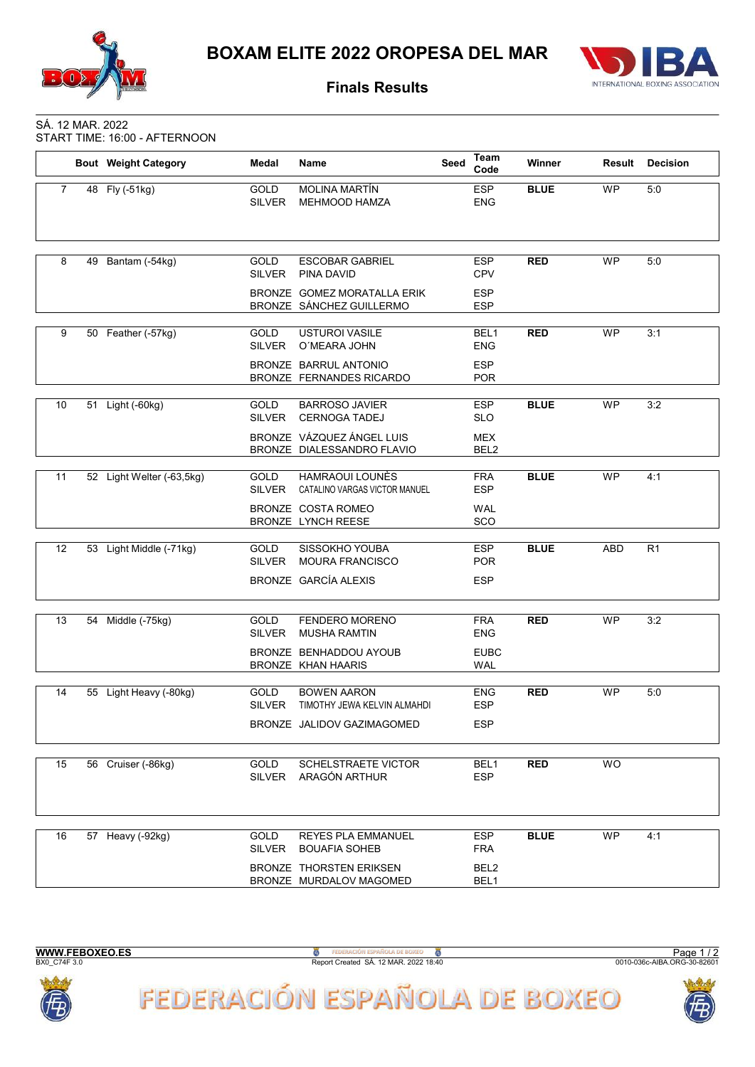



### Finals Results

#### SÁ. 12 MAR. 2022 START TIME: 16:00 - AFTERNOON

| <b>ESP</b><br><b>BLUE</b><br>48 Fly (-51kg)<br><b>MOLINA MARTÍN</b><br><b>WP</b><br>5:0<br>$\overline{7}$<br><b>GOLD</b><br><b>SILVER</b><br>MEHMOOD HAMZA<br><b>ENG</b><br><b>WP</b><br>8<br>Bantam (-54kg)<br><b>GOLD</b><br><b>ESCOBAR GABRIEL</b><br><b>ESP</b><br><b>RED</b><br>5:0<br>49<br><b>SILVER</b><br>PINA DAVID<br><b>CPV</b><br>BRONZE GOMEZ MORATALLA ERIK<br><b>ESP</b><br>BRONZE SÁNCHEZ GUILLERMO<br><b>ESP</b><br><b>WP</b><br>9<br><b>GOLD</b><br><b>USTUROI VASILE</b><br>BEL1<br><b>RED</b><br>3:1<br>50 Feather (-57kg)<br><b>SILVER</b><br>O'MEARA JOHN<br><b>ENG</b><br>BRONZE BARRUL ANTONIO<br><b>ESP</b><br><b>POR</b><br>BRONZE FERNANDES RICARDO<br><b>BLUE</b><br><b>WP</b><br>10<br><b>GOLD</b><br><b>BARROSO JAVIER</b><br><b>ESP</b><br>3:2<br>51 Light (-60kg)<br><b>SILVER</b><br><b>CERNOGA TADEJ</b><br><b>SLO</b><br>BRONZE VÁZQUEZ ÁNGEL LUIS<br><b>MEX</b><br>BRONZE DIALESSANDRO FLAVIO<br>BEL <sub>2</sub><br><b>HAMRAOUI LOUNÈS</b><br><b>FRA</b><br><b>BLUE</b><br><b>WP</b><br>11<br>52 Light Welter (-63,5kg)<br><b>GOLD</b><br>4:1<br><b>ESP</b><br><b>SILVER</b><br>CATALINO VARGAS VICTOR MANUEL<br><b>WAL</b><br>BRONZE COSTA ROMEO<br>BRONZE LYNCH REESE<br>SCO<br>SISSOKHO YOUBA<br><b>BLUE</b><br>ABD<br>12<br>53 Light Middle (-71kg)<br><b>GOLD</b><br><b>ESP</b><br>R1<br><b>SILVER</b><br><b>MOURA FRANCISCO</b><br><b>POR</b><br>BRONZE GARCÍA ALEXIS<br><b>ESP</b><br><b>FENDERO MORENO</b><br><b>WP</b><br>13<br>54 Middle (-75kg)<br><b>GOLD</b><br><b>FRA</b><br><b>RED</b><br>3:2<br><b>ENG</b><br>SILVER<br><b>MUSHA RAMTIN</b> | <b>Bout</b> Weight Category | Medal | Name | Seed | Team<br>Code | Winner | Result | <b>Decision</b> |
|---------------------------------------------------------------------------------------------------------------------------------------------------------------------------------------------------------------------------------------------------------------------------------------------------------------------------------------------------------------------------------------------------------------------------------------------------------------------------------------------------------------------------------------------------------------------------------------------------------------------------------------------------------------------------------------------------------------------------------------------------------------------------------------------------------------------------------------------------------------------------------------------------------------------------------------------------------------------------------------------------------------------------------------------------------------------------------------------------------------------------------------------------------------------------------------------------------------------------------------------------------------------------------------------------------------------------------------------------------------------------------------------------------------------------------------------------------------------------------------------------------------------------------------------------------------------------------------------------|-----------------------------|-------|------|------|--------------|--------|--------|-----------------|
|                                                                                                                                                                                                                                                                                                                                                                                                                                                                                                                                                                                                                                                                                                                                                                                                                                                                                                                                                                                                                                                                                                                                                                                                                                                                                                                                                                                                                                                                                                                                                                                                   |                             |       |      |      |              |        |        |                 |
|                                                                                                                                                                                                                                                                                                                                                                                                                                                                                                                                                                                                                                                                                                                                                                                                                                                                                                                                                                                                                                                                                                                                                                                                                                                                                                                                                                                                                                                                                                                                                                                                   |                             |       |      |      |              |        |        |                 |
|                                                                                                                                                                                                                                                                                                                                                                                                                                                                                                                                                                                                                                                                                                                                                                                                                                                                                                                                                                                                                                                                                                                                                                                                                                                                                                                                                                                                                                                                                                                                                                                                   |                             |       |      |      |              |        |        |                 |
|                                                                                                                                                                                                                                                                                                                                                                                                                                                                                                                                                                                                                                                                                                                                                                                                                                                                                                                                                                                                                                                                                                                                                                                                                                                                                                                                                                                                                                                                                                                                                                                                   |                             |       |      |      |              |        |        |                 |
|                                                                                                                                                                                                                                                                                                                                                                                                                                                                                                                                                                                                                                                                                                                                                                                                                                                                                                                                                                                                                                                                                                                                                                                                                                                                                                                                                                                                                                                                                                                                                                                                   |                             |       |      |      |              |        |        |                 |
|                                                                                                                                                                                                                                                                                                                                                                                                                                                                                                                                                                                                                                                                                                                                                                                                                                                                                                                                                                                                                                                                                                                                                                                                                                                                                                                                                                                                                                                                                                                                                                                                   |                             |       |      |      |              |        |        |                 |
|                                                                                                                                                                                                                                                                                                                                                                                                                                                                                                                                                                                                                                                                                                                                                                                                                                                                                                                                                                                                                                                                                                                                                                                                                                                                                                                                                                                                                                                                                                                                                                                                   |                             |       |      |      |              |        |        |                 |
|                                                                                                                                                                                                                                                                                                                                                                                                                                                                                                                                                                                                                                                                                                                                                                                                                                                                                                                                                                                                                                                                                                                                                                                                                                                                                                                                                                                                                                                                                                                                                                                                   |                             |       |      |      |              |        |        |                 |
|                                                                                                                                                                                                                                                                                                                                                                                                                                                                                                                                                                                                                                                                                                                                                                                                                                                                                                                                                                                                                                                                                                                                                                                                                                                                                                                                                                                                                                                                                                                                                                                                   |                             |       |      |      |              |        |        |                 |
|                                                                                                                                                                                                                                                                                                                                                                                                                                                                                                                                                                                                                                                                                                                                                                                                                                                                                                                                                                                                                                                                                                                                                                                                                                                                                                                                                                                                                                                                                                                                                                                                   |                             |       |      |      |              |        |        |                 |
|                                                                                                                                                                                                                                                                                                                                                                                                                                                                                                                                                                                                                                                                                                                                                                                                                                                                                                                                                                                                                                                                                                                                                                                                                                                                                                                                                                                                                                                                                                                                                                                                   |                             |       |      |      |              |        |        |                 |
|                                                                                                                                                                                                                                                                                                                                                                                                                                                                                                                                                                                                                                                                                                                                                                                                                                                                                                                                                                                                                                                                                                                                                                                                                                                                                                                                                                                                                                                                                                                                                                                                   |                             |       |      |      |              |        |        |                 |
| <b>EUBC</b><br>BRONZE BENHADDOU AYOUB<br>BRONZE KHAN HAARIS<br><b>WAL</b>                                                                                                                                                                                                                                                                                                                                                                                                                                                                                                                                                                                                                                                                                                                                                                                                                                                                                                                                                                                                                                                                                                                                                                                                                                                                                                                                                                                                                                                                                                                         |                             |       |      |      |              |        |        |                 |
| <b>BOWEN AARON</b><br><b>WP</b><br>55 Light Heavy (-80kg)<br><b>GOLD</b><br><b>RED</b><br>5:0<br>14<br><b>ENG</b><br><b>SILVER</b><br>TIMOTHY JEWA KELVIN ALMAHDI<br><b>ESP</b>                                                                                                                                                                                                                                                                                                                                                                                                                                                                                                                                                                                                                                                                                                                                                                                                                                                                                                                                                                                                                                                                                                                                                                                                                                                                                                                                                                                                                   |                             |       |      |      |              |        |        |                 |
| BRONZE JALIDOV GAZIMAGOMED<br><b>ESP</b>                                                                                                                                                                                                                                                                                                                                                                                                                                                                                                                                                                                                                                                                                                                                                                                                                                                                                                                                                                                                                                                                                                                                                                                                                                                                                                                                                                                                                                                                                                                                                          |                             |       |      |      |              |        |        |                 |
| <b>WO</b><br>56 Cruiser (-86kg)<br><b>SCHELSTRAETE VICTOR</b><br>BEL <sub>1</sub><br><b>RED</b><br>15<br><b>GOLD</b><br><b>SILVER</b><br>ARAGÓN ARTHUR<br><b>ESP</b>                                                                                                                                                                                                                                                                                                                                                                                                                                                                                                                                                                                                                                                                                                                                                                                                                                                                                                                                                                                                                                                                                                                                                                                                                                                                                                                                                                                                                              |                             |       |      |      |              |        |        |                 |
| <b>BLUE</b><br><b>WP</b><br><b>ESP</b><br>4:1<br>16<br>57 Heavy (-92kg)<br>GOLD<br><b>REYES PLA EMMANUEL</b>                                                                                                                                                                                                                                                                                                                                                                                                                                                                                                                                                                                                                                                                                                                                                                                                                                                                                                                                                                                                                                                                                                                                                                                                                                                                                                                                                                                                                                                                                      |                             |       |      |      |              |        |        |                 |
| <b>SILVER</b><br><b>BOUAFIA SOHEB</b><br><b>FRA</b><br>BRONZE THORSTEN ERIKSEN<br>BEL2<br>BEL1<br>BRONZE MURDALOV MAGOMED                                                                                                                                                                                                                                                                                                                                                                                                                                                                                                                                                                                                                                                                                                                                                                                                                                                                                                                                                                                                                                                                                                                                                                                                                                                                                                                                                                                                                                                                         |                             |       |      |      |              |        |        |                 |



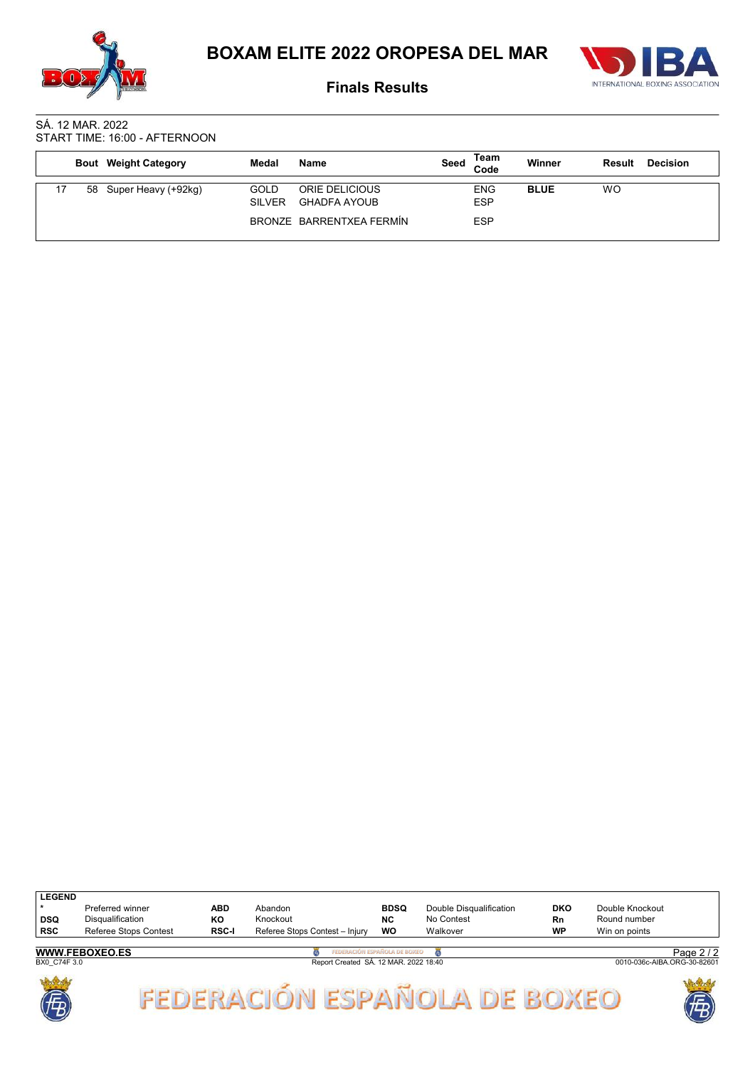



Finals Results

#### SÁ. 12 MAR. 2022 START TIME: 16:00 - AFTERNOON

|    | <b>Bout</b> Weight Category | Medal                 | Name                                  | Seed | Team<br>Code             | <b>Winner</b> | Result | <b>Decision</b> |
|----|-----------------------------|-----------------------|---------------------------------------|------|--------------------------|---------------|--------|-----------------|
| 58 | Super Heavy (+92kg)         | GOLD<br><b>SILVER</b> | ORIE DELICIOUS<br><b>GHADFA AYOUB</b> |      | <b>ENG</b><br><b>ESP</b> | <b>BLUE</b>   | WO     |                 |
|    |                             |                       | BRONZE BARRENTXEA FERMÍN              |      | <b>ESP</b>               |               |        |                 |

| <b>LEGEND</b>         |                       |              |                                       |             |                         |                             |                 |  |  |
|-----------------------|-----------------------|--------------|---------------------------------------|-------------|-------------------------|-----------------------------|-----------------|--|--|
|                       | Preferred winner      | ABD          | Abandon                               | <b>BDSQ</b> | Double Disqualification | DKO                         | Double Knockout |  |  |
| <b>DSQ</b>            | Disqualification      | ΚO           | Knockout                              | <b>NC</b>   | No Contest              | Rn.                         | Round number    |  |  |
| <b>RSC</b>            | Referee Stops Contest | <b>RSC-I</b> | Referee Stops Contest - Injury        | <b>WO</b>   | Walkover                | <b>WP</b>                   | Win on points   |  |  |
|                       |                       |              | FEDERACIÓN ESPAÑOLA DE BOXEO          |             |                         |                             |                 |  |  |
| <b>WWW.FEBOXEO.ES</b> |                       |              |                                       |             |                         |                             | Page $2/2$      |  |  |
| BX0 C74F 3.0          |                       |              | Report Created SÁ. 12 MAR. 2022 18:40 |             |                         | 0010-036c-AIBA.ORG-30-82601 |                 |  |  |

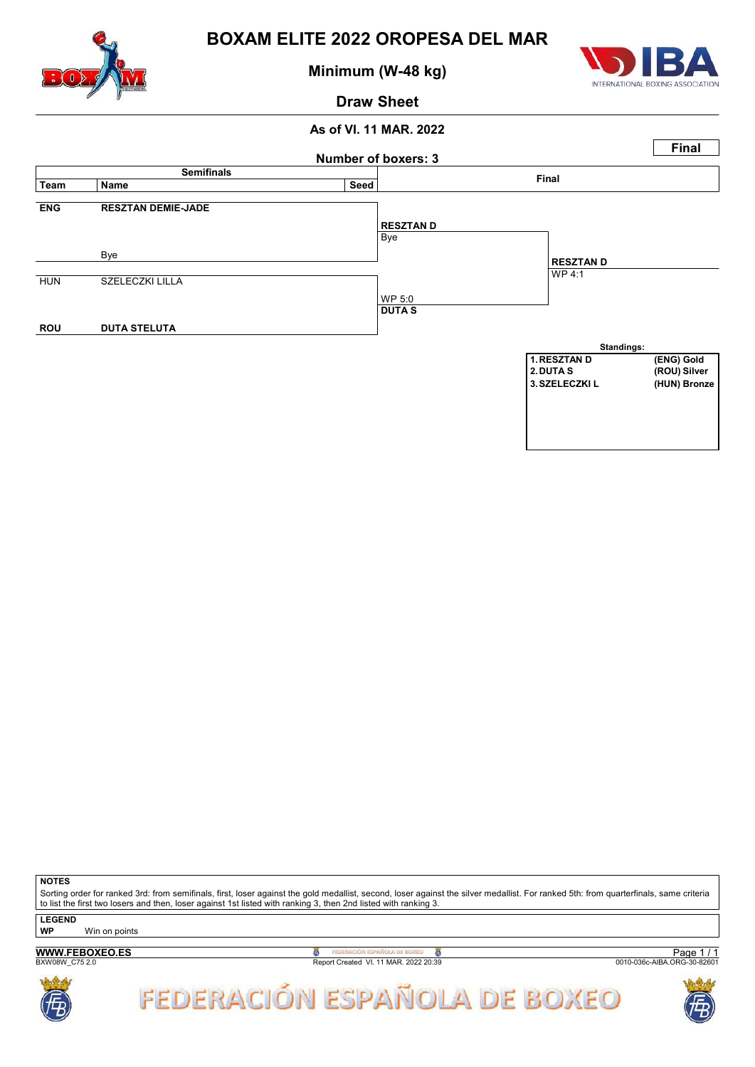

Minimum (W-48 kg)



### Draw Sheet

### As of VI. 11 MAR. 2022



**NOTES** 

Sorting order for ranked 3rd: from semifinals, first, loser against the gold medallist, second, loser against the silver medallist. For ranked 5th: from quarterfinals, same criteria to list the first two losers and then, loser against 1st listed with ranking 3, then 2nd listed with ranking 3.

**LEGEND** 

WP Win on points

## WWW.FEBOXEO.ES

**B**<br>Report Created VI. 11 MAR. 2022 20:39

Page 1 / 1<br>0010-036c-AIBA.ORG-30-82601



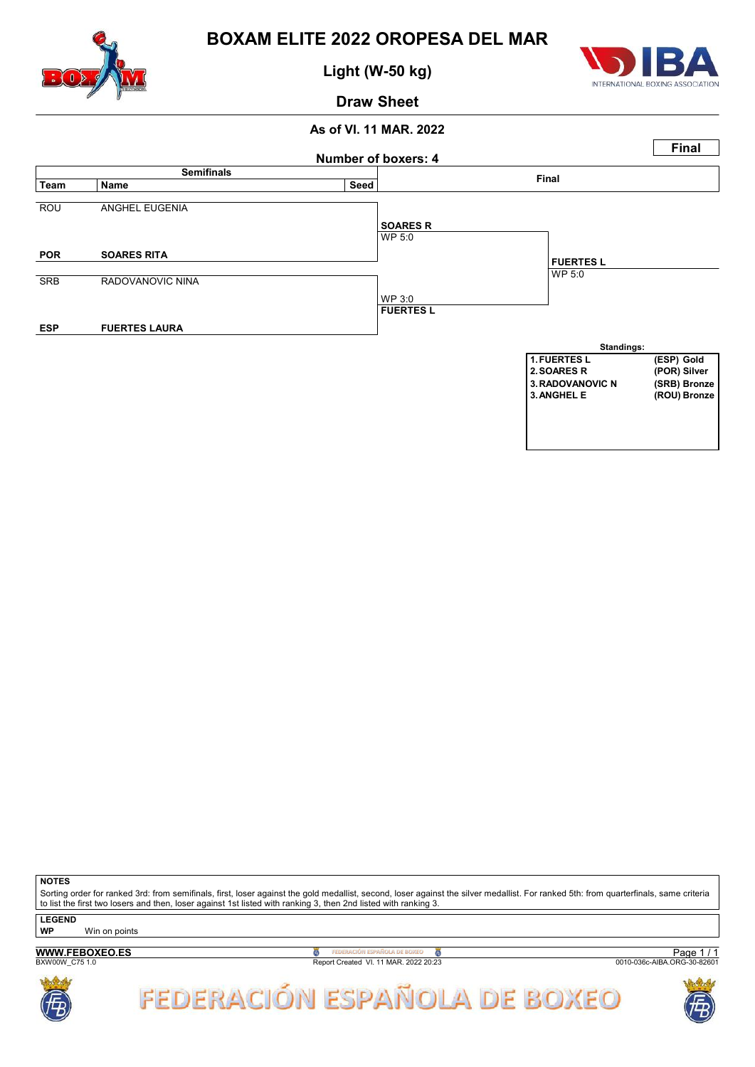

Light (W-50 kg)



Draw Sheet

### As of VI. 11 MAR. 2022



**NOTES** 

Sorting order for ranked 3rd: from semifinals, first, loser against the gold medallist, second, loser against the silver medallist. For ranked 5th: from quarterfinals, same criteria to list the first two losers and then, loser against 1st listed with ranking 3, then 2nd listed with ranking 3.

**LEGEND** 

WP Win on points

## WWW.FEBOXEO.ES

**B**<br>Report Created VI. 11 MAR. 2022 20:23

Page 1 / 1<br>0010-036c-AIBA.ORG-30-82601



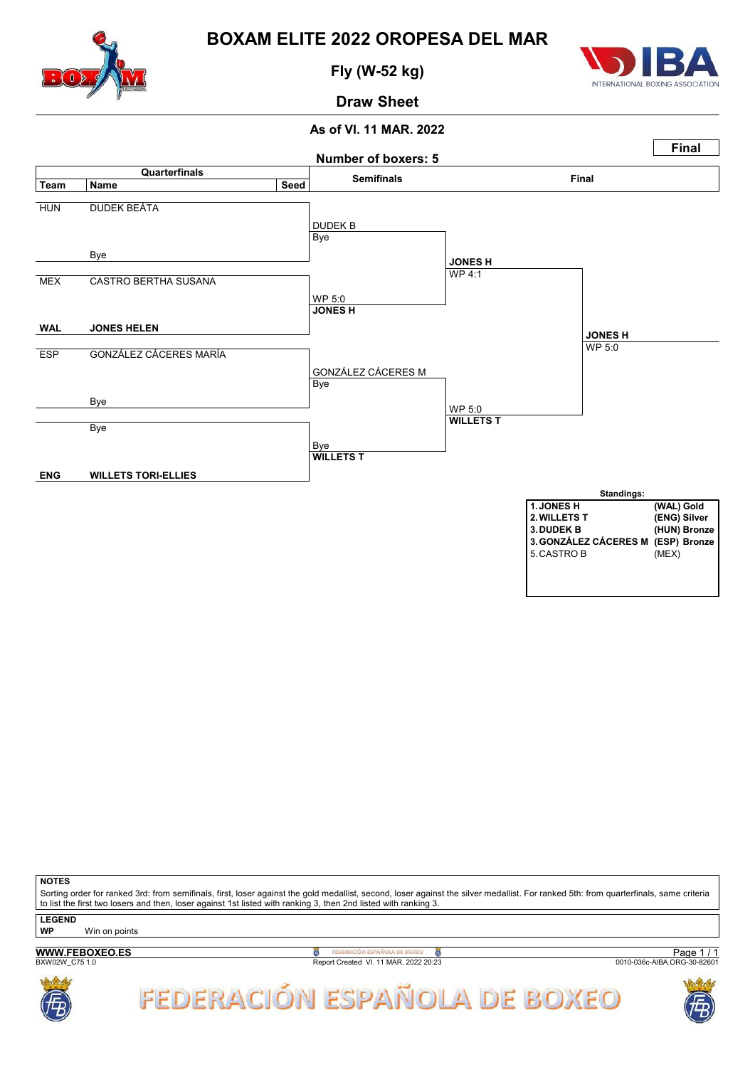

Fly (W-52 kg)



Draw Sheet

#### As of VI. 11 MAR. 2022



**NOTES** 

Sorting order for ranked 3rd: from semifinals, first, loser against the gold medallist, second, loser against the silver medallist. For ranked 5th: from quarterfinals, same criteria to list the first two losers and then, loser against 1st listed with ranking 3, then 2nd listed with ranking 3.

**LEGEND** 

WP Win on points

## WWW.FEBOXEO.ES

B<sub>X</sub> PEDERACIÓN ESPAÑOLA DE BOXEO<br>Report Created VI. 11 MAR. 2022 20:23

Page 1 / 1<br>0010-036c-AIBA.ORG-30-82601



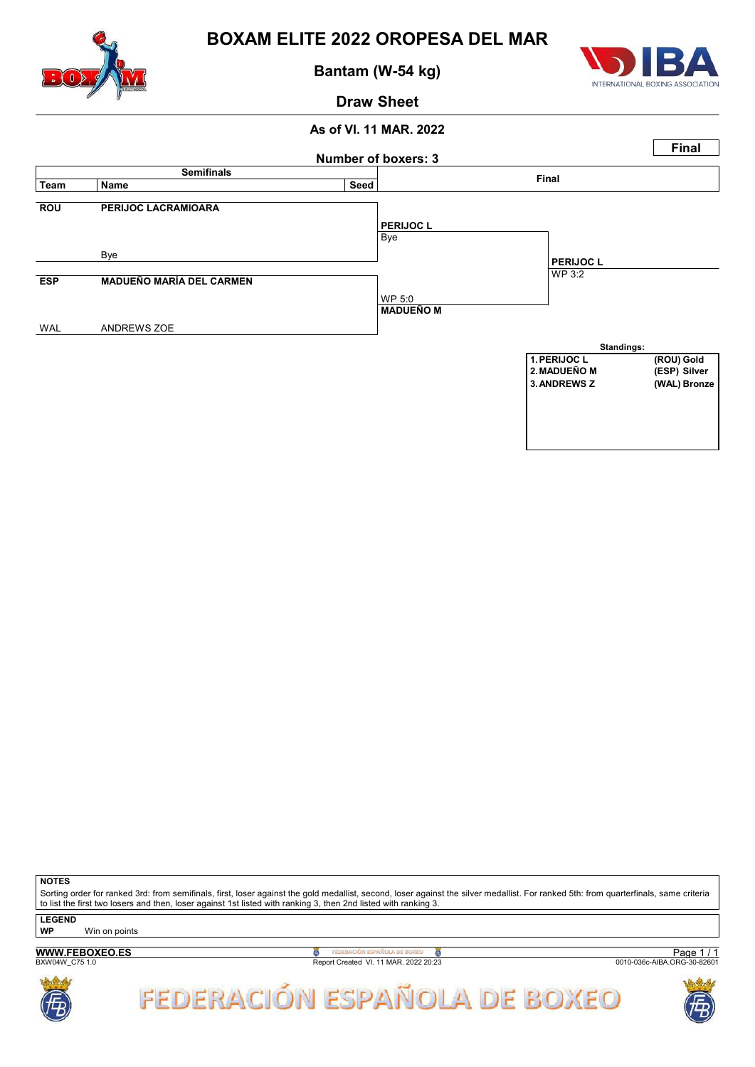

Bantam (W-54 kg)



### Draw Sheet

### As of VI. 11 MAR. 2022



**NOTES** 

Sorting order for ranked 3rd: from semifinals, first, loser against the gold medallist, second, loser against the silver medallist. For ranked 5th: from quarterfinals, same criteria to list the first two losers and then, loser against 1st listed with ranking 3, then 2nd listed with ranking 3.

**LEGEND** 

WP Win on points

## WWW.FEBOXEO.ES

**B**<br>Report Created VI. 11 MAR. 2022 20:23

Page 1 / 1<br>0010-036c-AIBA.ORG-30-82601



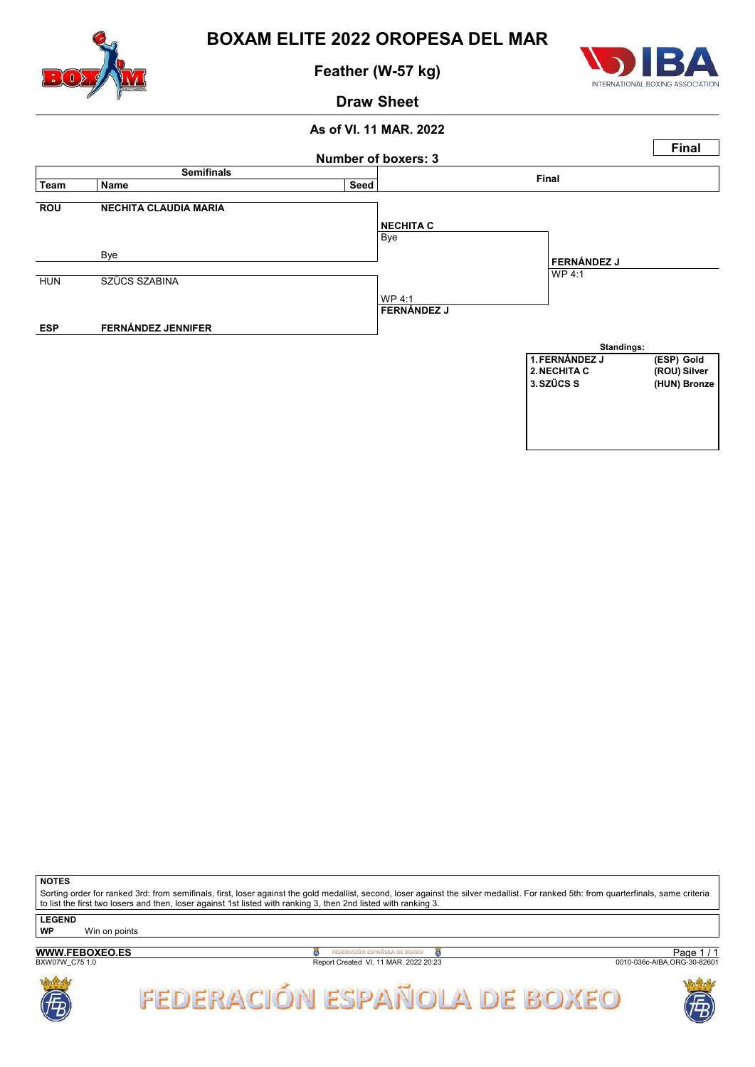

Feather (W-57 kg)



### Draw Sheet

### As of VI. 11 MAR. 2022



**NOTES** 

Sorting order for ranked 3rd: from semifinals, first, loser against the gold medallist, second, loser against the silver medallist. For ranked 5th: from quarterfinals, same criteria to list the first two losers and then, loser against 1st listed with ranking 3, then 2nd listed with ranking 3.

**LEGEND** 

WP Win on points

## WWW.FEBOXEO.ES

**B**<br>Report Created VI. 11 MAR. 2022 20:23

Page 1 / 1<br>0010-036c-AIBA.ORG-30-82601



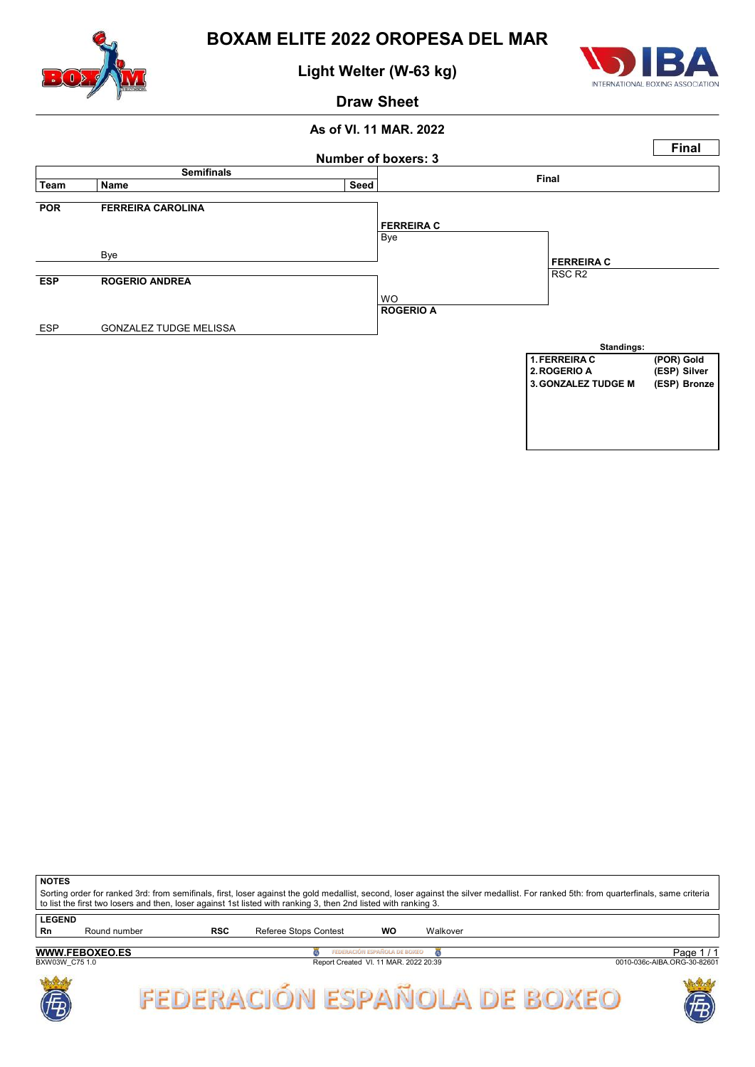

## Light Welter (W-63 kg)



### Draw Sheet

### As of VI. 11 MAR. 2022 Number of boxers: 3 **Final** semifinals in the Semifinal Semifinal Seed of the Seed of the Seed of the Seed of the Seed of the Seed of the Seed of the Seed of the Seed of the Seed of the Seed of the Seed of the Seed of the Seed of the Seed of the Seed POR FERREIRA CAROLINA Bye Bye ESP ROGERIO ANDREA WO ESP GONZALEZ TUDGE MELISSA FERREIRA C RSC R2 ROGERIO A FERREIRA C Standings: 1. FERREIRA C (POR) Gold<br>2. ROGERIO A (ESP) Silver (ESP) Silver 3.GONZALEZ TUDGE M (ESP) Bronze

**NOTES** 

Sorting order for ranked 3rd: from semifinals, first, loser against the gold medallist, second, loser against the silver medallist. For ranked 5th: from quarterfinals, same criteria to list the first two losers and then, loser against 1st listed with ranking 3, then 2nd listed with ranking 3. **LEGEND** 

Rn Round number RSC Referee Stops Contest WO Walkover Page 1 / 1<br>0010-036c-AIBA.ORG-30-82601 WWW.FEBOXEO.ES **B** FEDERACIÓN ESPAÑOLA DE BOXEO **DE**<br>Report Created VI. 11 MAR. 2022 20:39 FEDERACIÓN ESPAÑOLA DE BOXEO



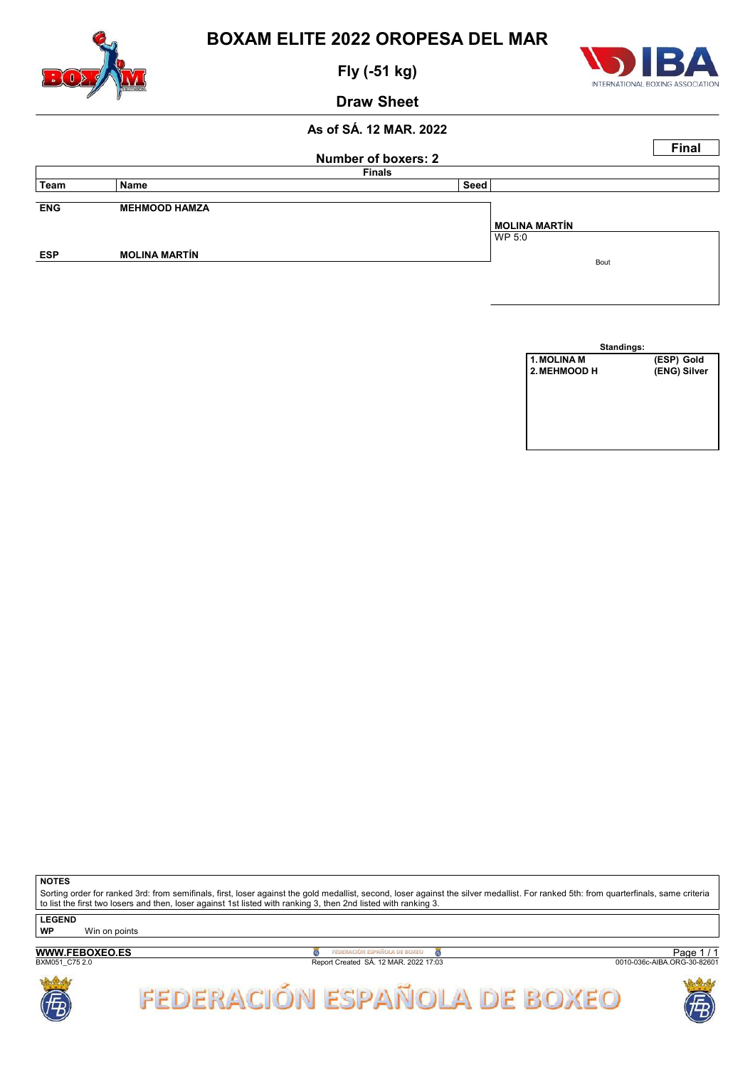

Fly (-51 kg)



Draw Sheet

### As of SÁ. 12 MAR. 2022

|            |                      | <b>Number of boxers: 2</b> |                      | <b>Final</b> |
|------------|----------------------|----------------------------|----------------------|--------------|
|            |                      | <b>Finals</b>              |                      |              |
| Team       | Name                 | Seed                       |                      |              |
| <b>ENG</b> | <b>MEHMOOD HAMZA</b> |                            |                      |              |
|            |                      |                            | <b>MOLINA MARTÍN</b> |              |
|            |                      |                            | WP 5:0               |              |
| <b>ESP</b> | <b>MOLINA MARTÍN</b> |                            |                      |              |
|            |                      |                            | Bout                 |              |

| Standings:   |              |
|--------------|--------------|
| 1. MOLINA M  | (ESP) Gold   |
| 2. MEHMOOD H | (ENG) Silver |
|              |              |
|              |              |
|              |              |
|              |              |
|              |              |
|              |              |

**NOTES** 

Sorting order for ranked 3rd: from semifinals, first, loser against the gold medallist, second, loser against the silver medallist. For ranked 5th: from quarterfinals, same criteria to list the first two losers and then, loser against 1st listed with ranking 3, then 2nd listed with ranking 3.

LEGEND

WWW.FEBOXEO.ES

WP Win on points

**B**<br>Report Created SÁ. 12 MAR. 2022 17:03

Page 1 / 1<br>0010-036c-AIBA.ORG-30-82601



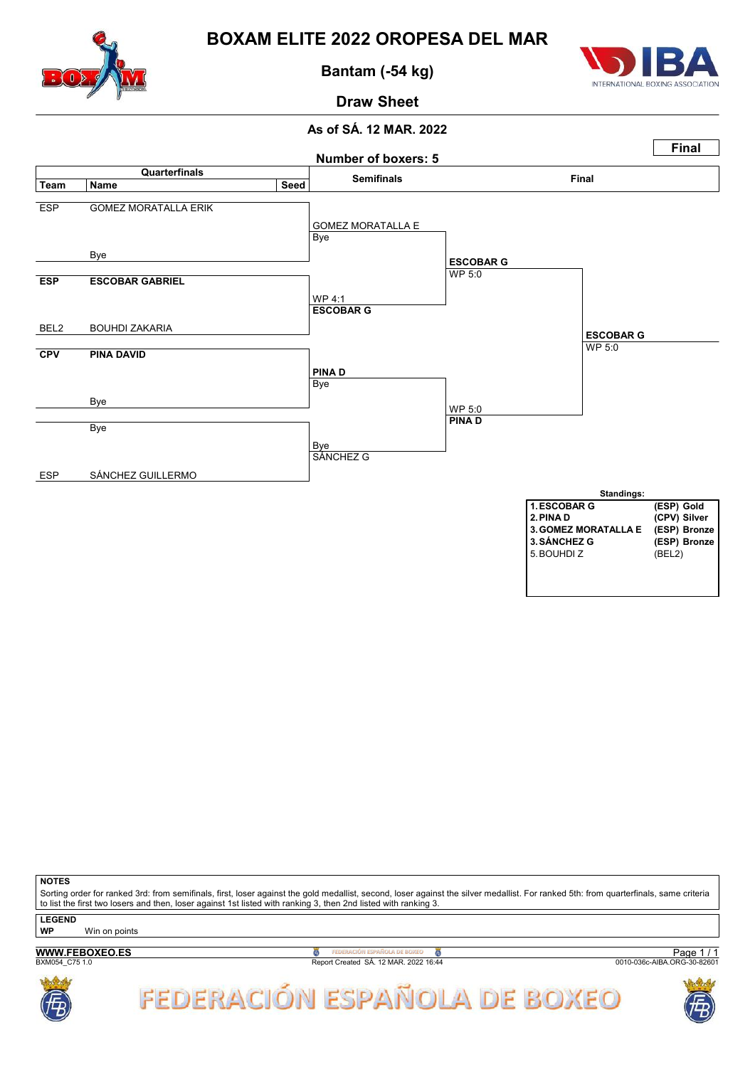

Bantam (-54 kg)



# Draw Sheet

### As of SÁ. 12 MAR. 2022



**NOTES** 

Sorting order for ranked 3rd: from semifinals, first, loser against the gold medallist, second, loser against the silver medallist. For ranked 5th: from quarterfinals, same criteria to list the first two losers and then, loser against 1st listed with ranking 3, then 2nd listed with ranking 3.

**LEGEND** 

WP Win on points

### WWW.FEBOXEO.ES

**B**<br>Report Created SÁ. 12 MAR. 2022 16:44

Page 1 / 1<br>0010-036c-AIBA.ORG-30-82601



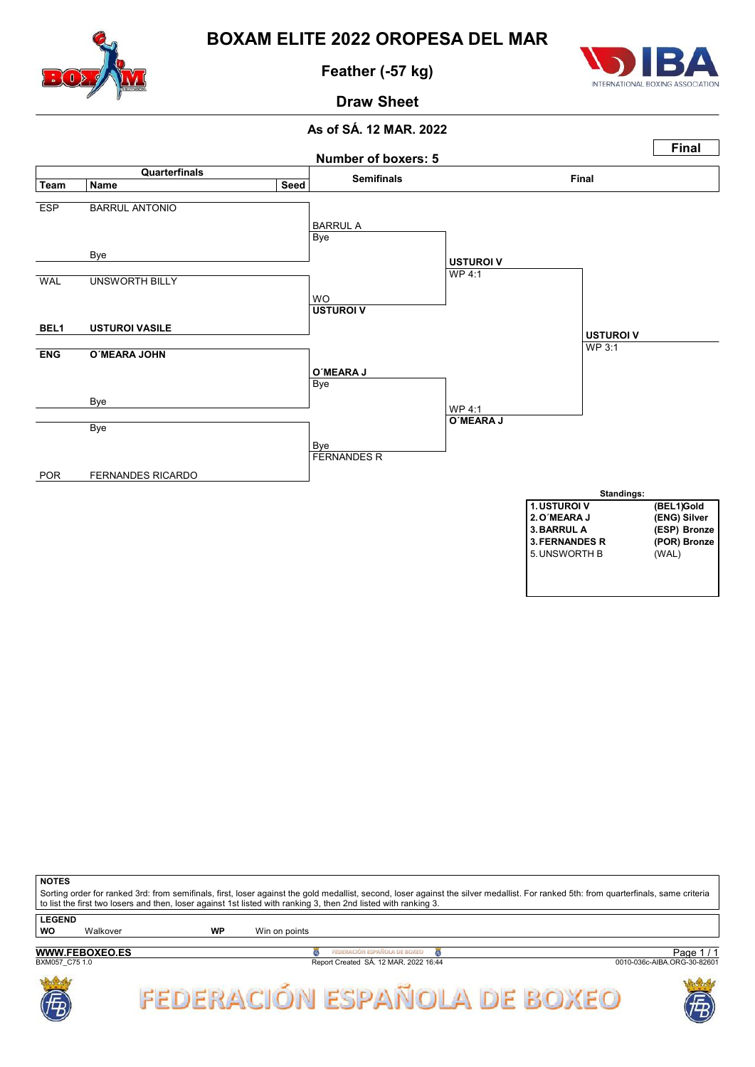

Feather (-57 kg)



Draw Sheet

### As of SÁ. 12 MAR. 2022



| <b>NOTES</b>        |                                                                                                                                                                                                                                                                                                          |    |               |                                                                       |                                           |  |  |  |  |
|---------------------|----------------------------------------------------------------------------------------------------------------------------------------------------------------------------------------------------------------------------------------------------------------------------------------------------------|----|---------------|-----------------------------------------------------------------------|-------------------------------------------|--|--|--|--|
|                     | Sorting order for ranked 3rd: from semifinals, first, loser against the gold medallist, second, loser against the silver medallist. For ranked 5th: from quarterfinals, same criteria<br>to list the first two losers and then, loser against 1st listed with ranking 3, then 2nd listed with ranking 3. |    |               |                                                                       |                                           |  |  |  |  |
| <b>LEGEND</b><br>WO | Walkover                                                                                                                                                                                                                                                                                                 | WP | Win on points |                                                                       |                                           |  |  |  |  |
| BXM057 C75 1.0      | <b>WWW.FEBOXEO.ES</b>                                                                                                                                                                                                                                                                                    |    |               | FEDERACIÓN ESPAÑOLA DE BOXEO<br>Report Created SÁ. 12 MAR. 2022 16:44 | Page $1/1$<br>0010-036c-AIBA.ORG-30-82601 |  |  |  |  |



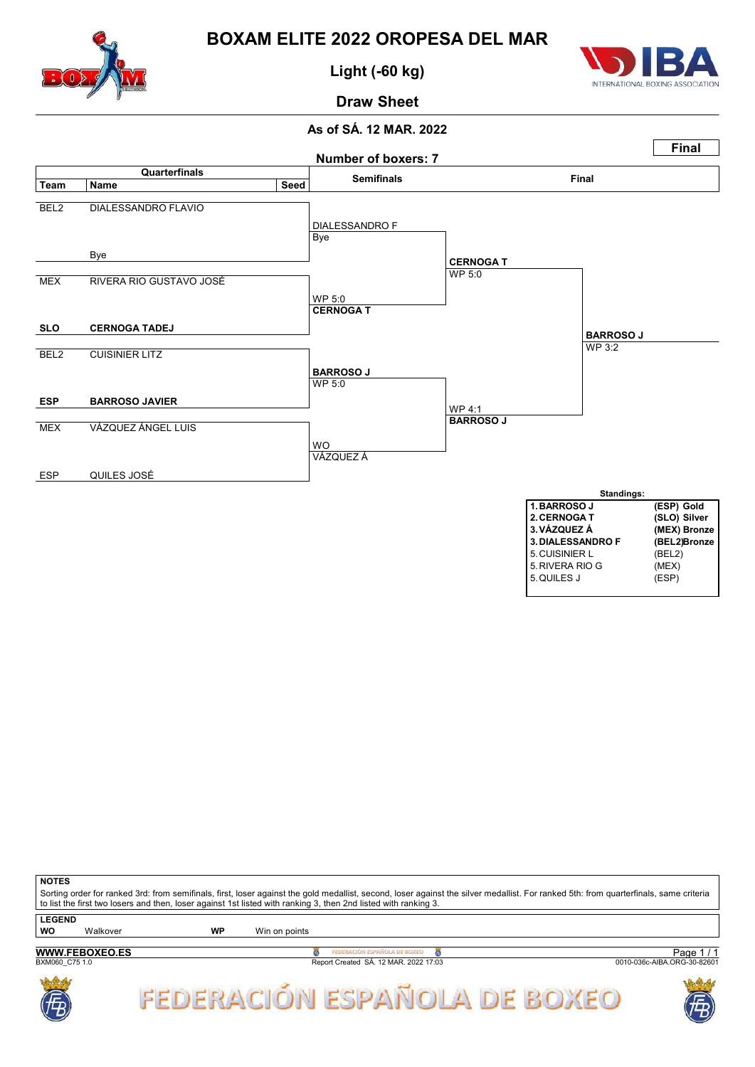

Light (-60 kg)



## Draw Sheet

### As of SÁ. 12 MAR. 2022



**NOTES** Sorting order for ranked 3rd: from semifinals, first, loser against the gold medallist, second, loser against the silver medallist. For ranked 5th: from quarterfinals, same criteria to list the first two losers and then, loser against 1st listed with ranking 3, then 2nd listed with ranking 3. **LEGEND** WO Walkover WP Win on points



**B**<br>Report Created SÁ. 12 MAR. 2022 17:03

Page 1/1<br>0010-036c-AIBA.ORG-30-82601



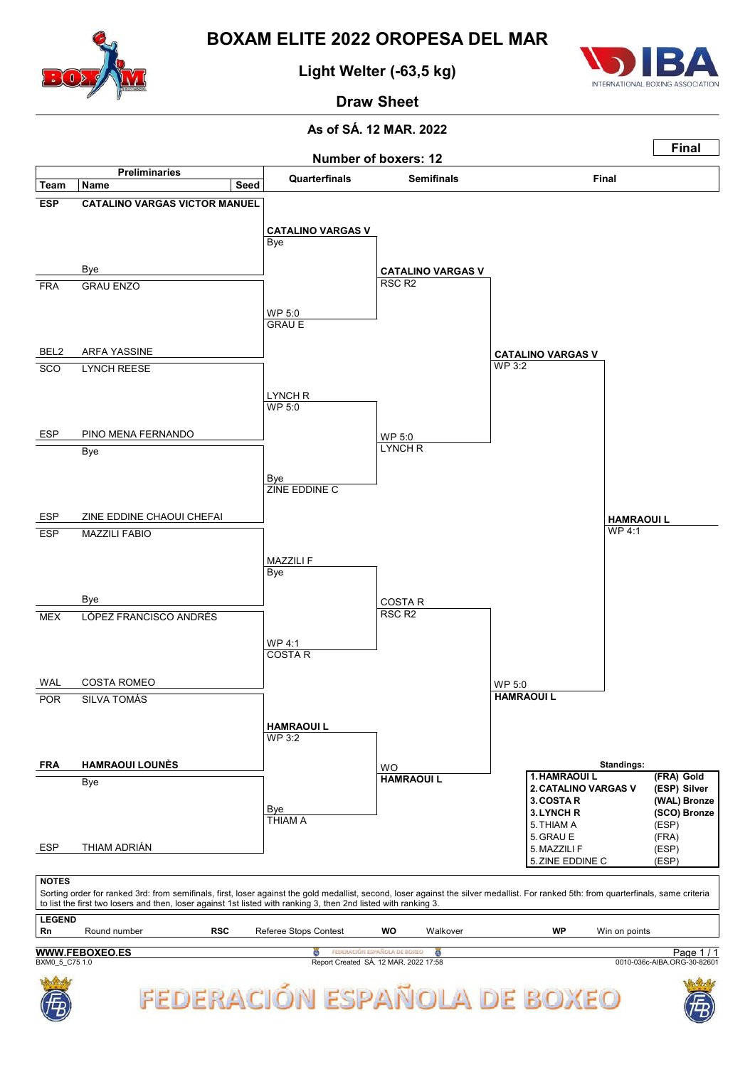

## Light Welter (-63,5 kg)



# Draw Sheet

### As of SÁ. 12 MAR. 2022

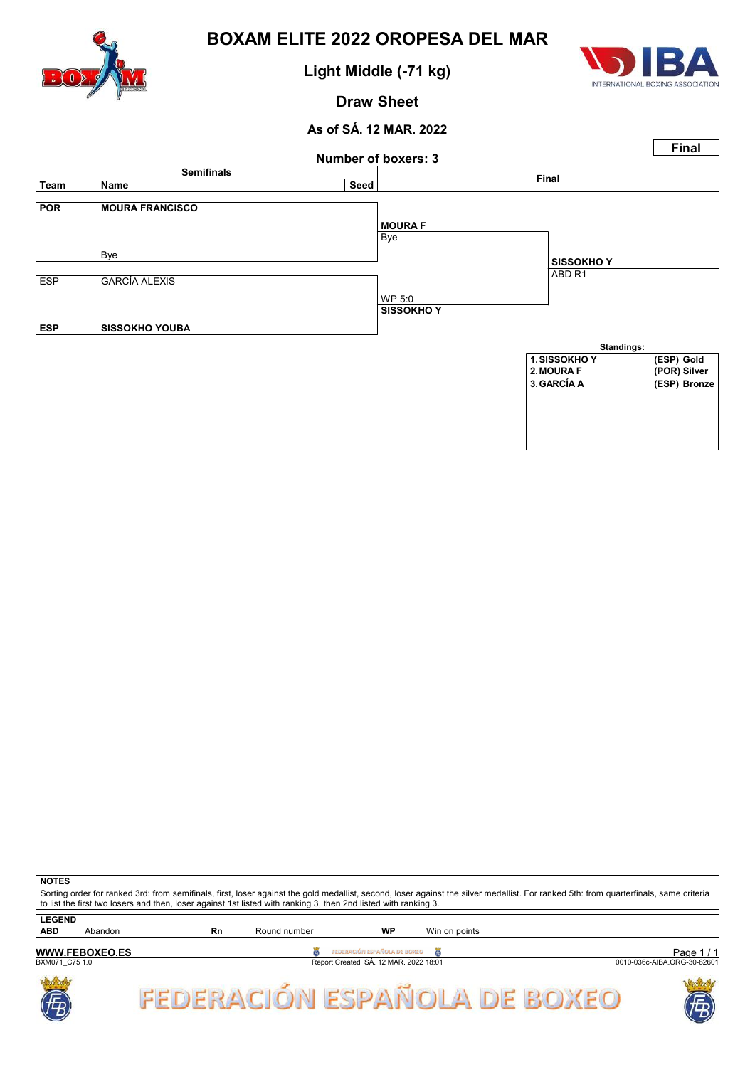

Light Middle (-71 kg)



### Draw Sheet

### As of SÁ. 12 MAR. 2022



| <b>NOTES</b>  |                                                                                                                 |    |              |    |                                                                                                                                                                                       |  |  |  |  |  |
|---------------|-----------------------------------------------------------------------------------------------------------------|----|--------------|----|---------------------------------------------------------------------------------------------------------------------------------------------------------------------------------------|--|--|--|--|--|
|               |                                                                                                                 |    |              |    | Sorting order for ranked 3rd: from semifinals, first, loser against the gold medallist, second, loser against the silver medallist. For ranked 5th: from quarterfinals, same criteria |  |  |  |  |  |
|               | to list the first two losers and then, loser against 1st listed with ranking 3, then 2nd listed with ranking 3. |    |              |    |                                                                                                                                                                                       |  |  |  |  |  |
| <b>LEGEND</b> |                                                                                                                 |    |              |    |                                                                                                                                                                                       |  |  |  |  |  |
| <b>ABD</b>    | Abandon                                                                                                         | Rn | Round number | WP | Win on points                                                                                                                                                                         |  |  |  |  |  |
|               |                                                                                                                 |    |              |    |                                                                                                                                                                                       |  |  |  |  |  |

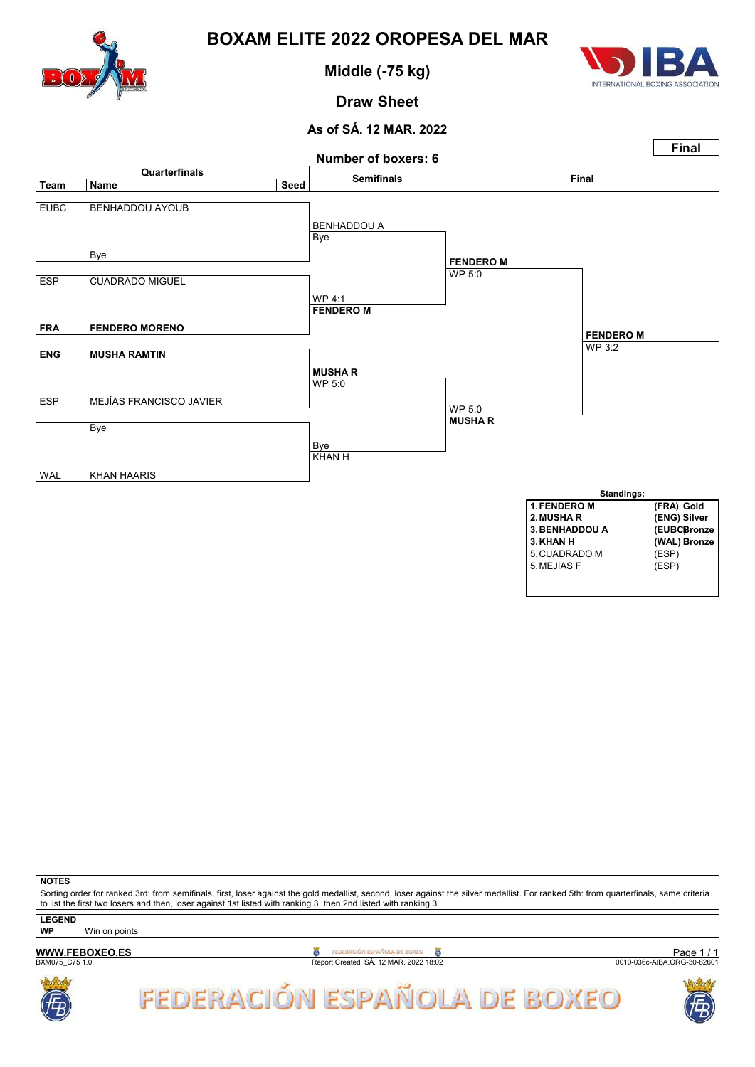

Middle (-75 kg)



Draw Sheet

### As of SÁ. 12 MAR. 2022



**NOTES** 

Sorting order for ranked 3rd: from semifinals, first, loser against the gold medallist, second, loser against the silver medallist. For ranked 5th: from quarterfinals, same criteria to list the first two losers and then, loser against 1st listed with ranking 3, then 2nd listed with ranking 3.

**LEGEND** 

WP Win on points

WWW.FEBOXEO.ES

**B**<br>Report Created SÁ. 12 MAR. 2022 18:02

Page 1 / 1<br>0010-036c-AIBA.ORG-30-82601



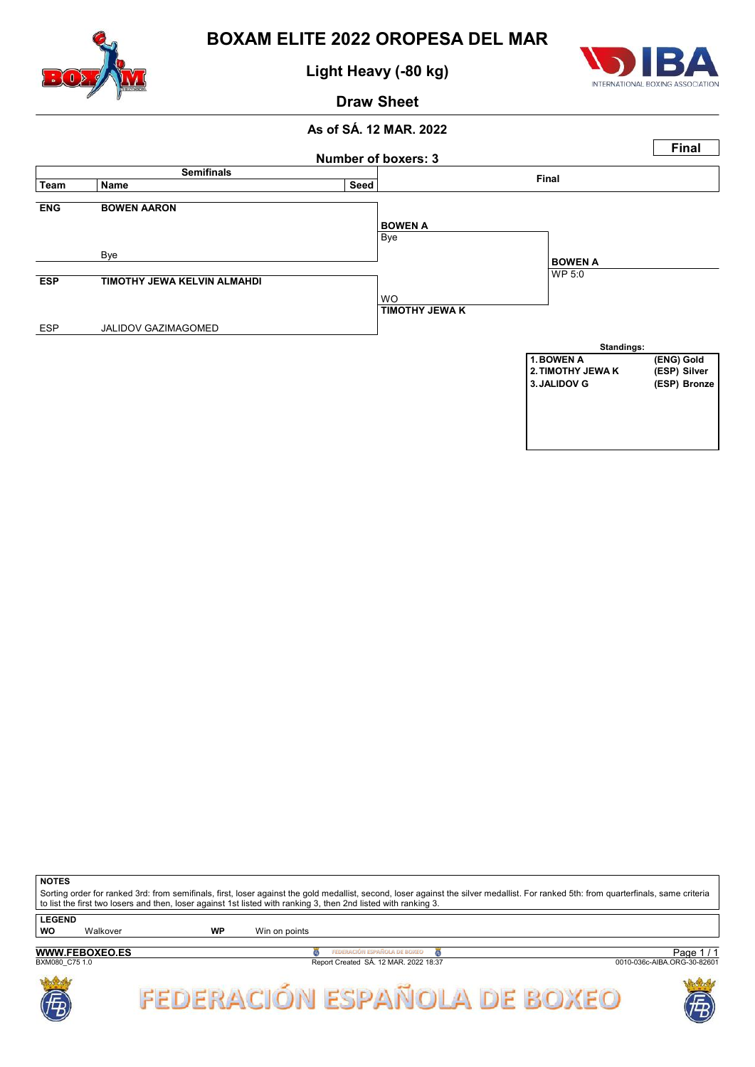

Light Heavy (-80 kg)



### Draw Sheet

### As of SÁ. 12 MAR. 2022



**NOTES** 

Sorting order for ranked 3rd: from semifinals, first, loser against the gold medallist, second, loser against the silver medallist. For ranked 5th: from quarterfinals, same criteria to list the first two losers and then, loser against 1st listed with ranking 3, then 2nd listed with ranking 3. **LEGEND** 

WWW.FEBOXEO.ES BOZT PEDERACIÓN ESPAÑOLA DE BOXEO CREATED<br>Report Created SÁ. 12 MAR. 2022 18:37 WO Walkover WP Win on points Page 1 / 1<br>0010-036c-AIBA.ORG-30-82601





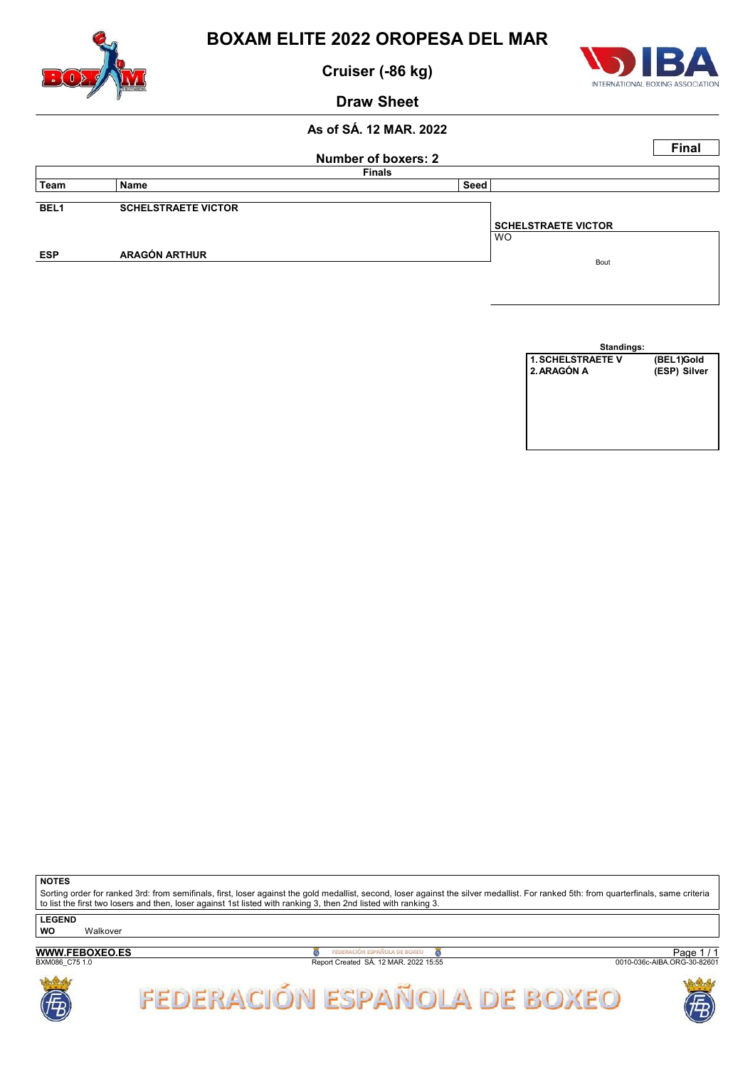

Cruiser (-86 kg)



Draw Sheet

### As of SÁ. 12 MAR. 2022

|                  |                            |                     |                                         | <b>Final</b> |
|------------------|----------------------------|---------------------|-----------------------------------------|--------------|
|                  |                            | Number of boxers: 2 |                                         |              |
|                  |                            | <b>Finals</b>       |                                         |              |
| Team             | Name                       | Seed                |                                         |              |
| BEL <sub>1</sub> | <b>SCHELSTRAETE VICTOR</b> |                     |                                         |              |
|                  |                            |                     | <b>SCHELSTRAETE VICTOR</b><br><b>WO</b> |              |
| <b>ESP</b>       | <b>ARAGÓN ARTHUR</b>       |                     | Bout                                    |              |
|                  |                            |                     |                                         |              |

| (BEL1)Gold   |
|--------------|
| (ESP) Silver |
|              |
|              |
|              |
|              |
|              |
|              |
|              |

**NOTES** 

Sorting order for ranked 3rd: from semifinals, first, loser against the gold medallist, second, loser against the silver medallist. For ranked 5th: from quarterfinals, same criteria to list the first two losers and then, loser against 1st listed with ranking 3, then 2nd listed with ranking 3.

LEGEND

WO Walkover

WWW.FEBOXEO.ES

**B**<br>Report Created SÁ. 12 MAR. 2022 15:55

Page 1 / 1<br>0010-036c-AIBA.ORG-30-82601



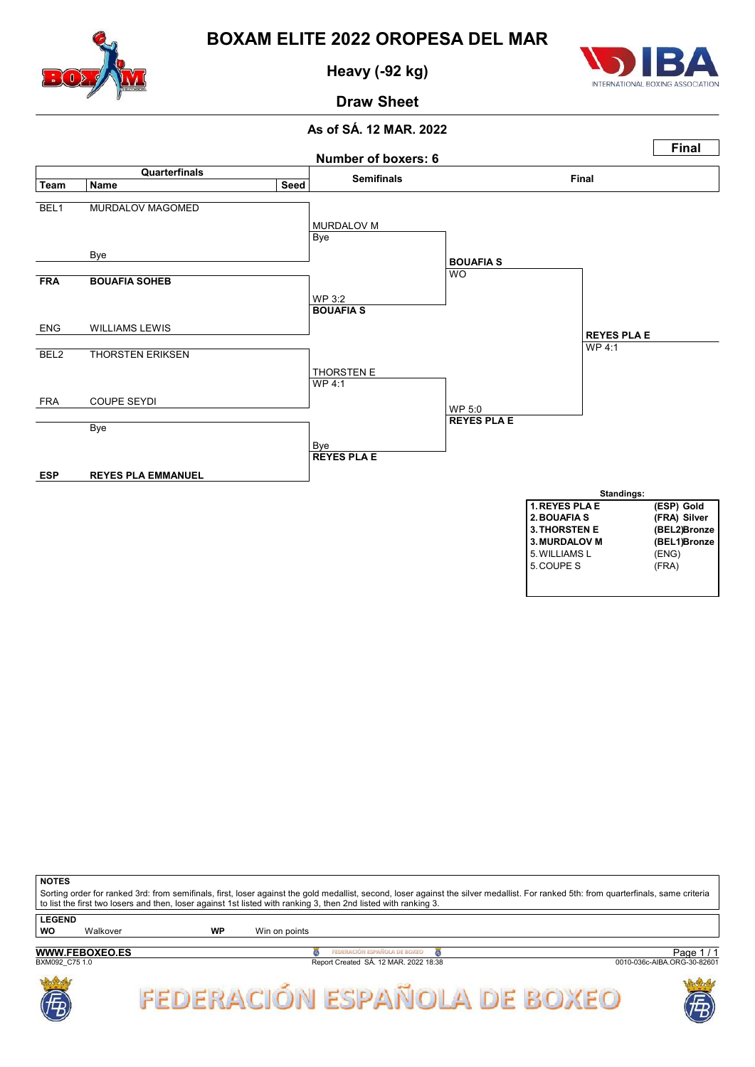

Heavy (-92 kg)



Draw Sheet

#### As of SÁ. 12 MAR. 2022



| <b>NOTES</b>                                                                                                                                                                                                                                                                                             |                       |    |               |                                       |                             |  |  |  |  |  |  |
|----------------------------------------------------------------------------------------------------------------------------------------------------------------------------------------------------------------------------------------------------------------------------------------------------------|-----------------------|----|---------------|---------------------------------------|-----------------------------|--|--|--|--|--|--|
| Sorting order for ranked 3rd: from semifinals, first, loser against the gold medallist, second, loser against the silver medallist. For ranked 5th: from quarterfinals, same criteria<br>to list the first two losers and then, loser against 1st listed with ranking 3, then 2nd listed with ranking 3. |                       |    |               |                                       |                             |  |  |  |  |  |  |
| <b>LEGEND</b>                                                                                                                                                                                                                                                                                            |                       |    |               |                                       |                             |  |  |  |  |  |  |
| <b>WO</b>                                                                                                                                                                                                                                                                                                | Walkover              | WP | Win on points |                                       |                             |  |  |  |  |  |  |
|                                                                                                                                                                                                                                                                                                          |                       |    |               |                                       |                             |  |  |  |  |  |  |
|                                                                                                                                                                                                                                                                                                          | <b>WWW.FEBOXEO.ES</b> |    |               | FEDERACIÓN ESPAÑOLA DE BOXEO          | Page 1/1                    |  |  |  |  |  |  |
| BXM092 C75 1.0                                                                                                                                                                                                                                                                                           |                       |    |               | Report Created SÁ, 12 MAR, 2022 18:38 | 0010-036c-AIBA.ORG-30-82601 |  |  |  |  |  |  |



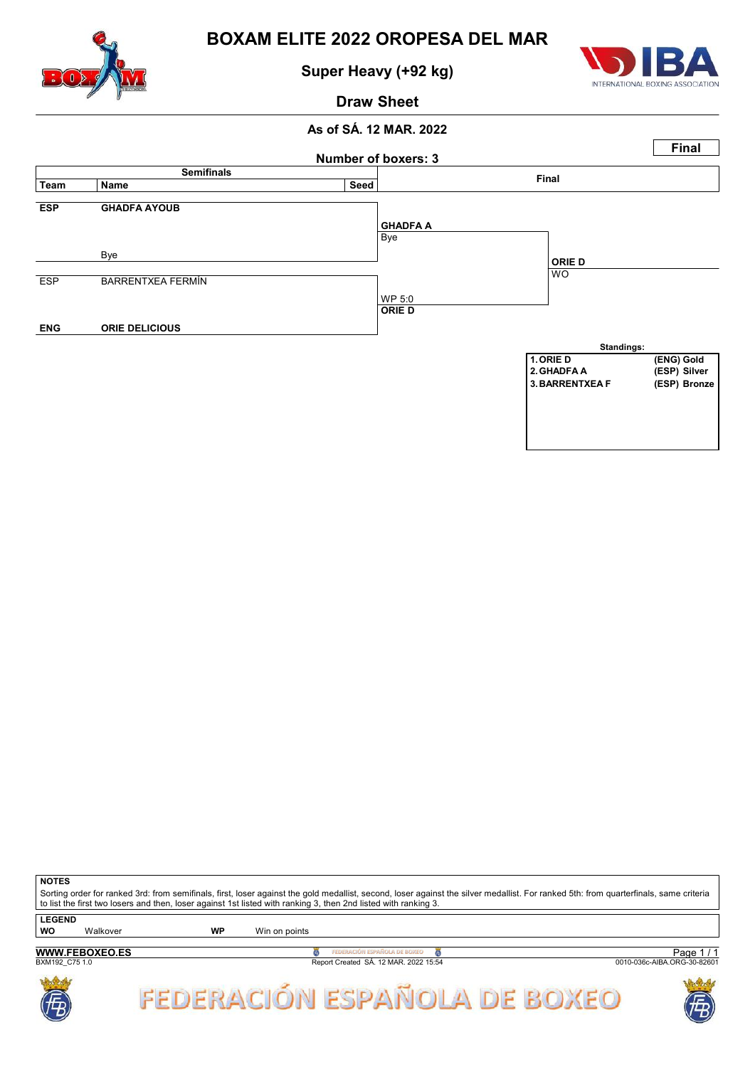

Super Heavy (+92 kg)



### Draw Sheet

### As of SÁ. 12 MAR. 2022



**NOTES** 

Sorting order for ranked 3rd: from semifinals, first, loser against the gold medallist, second, loser against the silver medallist. For ranked 5th: from quarterfinals, same criteria to list the first two losers and then, loser against 1st listed with ranking 3, then 2nd listed with ranking 3. **LEGEND** 

| ------         |                       |    |                                       |                             |
|----------------|-----------------------|----|---------------------------------------|-----------------------------|
| WO             | Walkover              | WP | Win on points                         |                             |
|                |                       |    |                                       |                             |
|                | <b>WWW.FEBOXEO.ES</b> |    | ÒN ESPAÑOLA DE BOXEO                  | Page                        |
| BXM192 C75 1.0 |                       |    | Report Created SA. 12 MAR. 2022 15:54 | 0010-036c-AIBA.ORG-30-82601 |

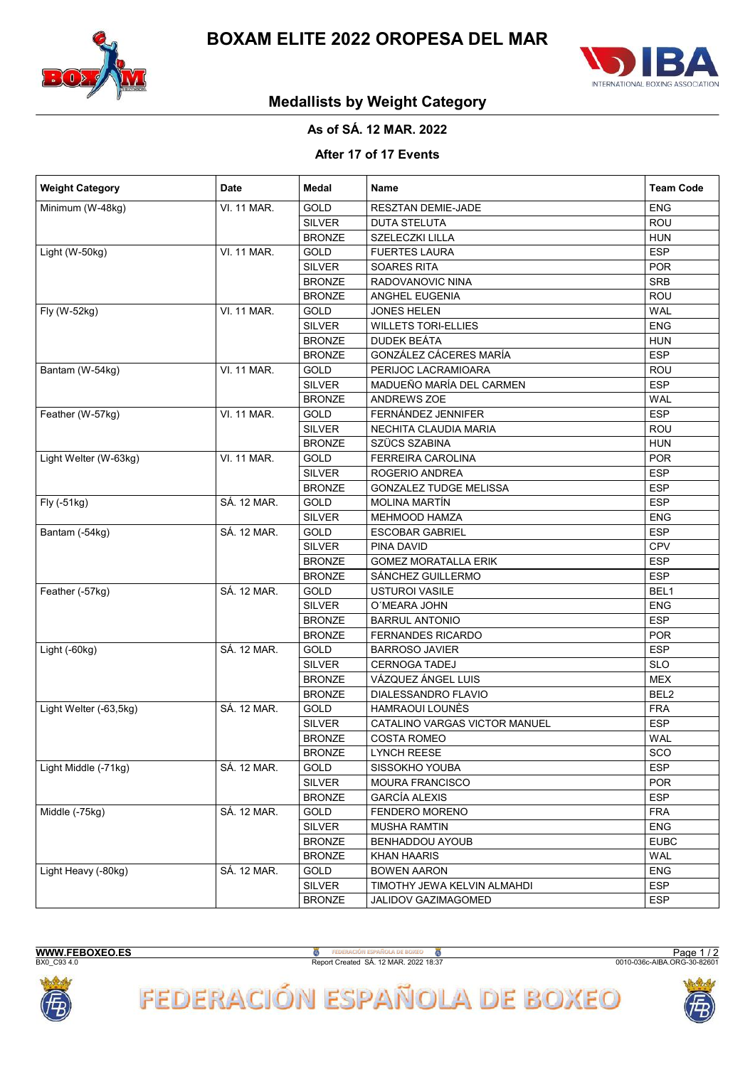



## Medallists by Weight Category

### As of SÁ. 12 MAR. 2022

### After 17 of 17 Events

| <b>Weight Category</b> | Date               | Medal         | Name                          | <b>Team Code</b> |
|------------------------|--------------------|---------------|-------------------------------|------------------|
| Minimum (W-48kg)       | VI. 11 MAR.        | <b>GOLD</b>   | RESZTAN DEMIE-JADE            | <b>ENG</b>       |
|                        |                    | <b>SILVER</b> | <b>DUTA STELUTA</b>           | <b>ROU</b>       |
|                        |                    | <b>BRONZE</b> | SZELECZKI LILLA               | <b>HUN</b>       |
| Light (W-50kg)         | <b>VI. 11 MAR.</b> | GOLD          | <b>FUERTES LAURA</b>          | <b>ESP</b>       |
|                        |                    | <b>SILVER</b> | SOARES RITA                   | <b>POR</b>       |
|                        |                    | <b>BRONZE</b> | RADOVANOVIC NINA              | SRB              |
|                        |                    | <b>BRONZE</b> | ANGHEL EUGENIA                | ROU              |
| Fly (W-52kg)           | <b>VI. 11 MAR.</b> | <b>GOLD</b>   | JONES HELEN                   | <b>WAL</b>       |
|                        |                    | <b>SILVER</b> | <b>WILLETS TORI-ELLIES</b>    | <b>ENG</b>       |
|                        |                    | <b>BRONZE</b> | DUDEK BEÁTA                   | <b>HUN</b>       |
|                        |                    | <b>BRONZE</b> | GONZÁLEZ CÁCERES MARÍA        | <b>ESP</b>       |
| Bantam (W-54kg)        | <b>VI. 11 MAR.</b> | GOLD          | PERIJOC LACRAMIOARA           | ROU              |
|                        |                    | <b>SILVER</b> | MADUEÑO MARÍA DEL CARMEN      | <b>ESP</b>       |
|                        |                    | <b>BRONZE</b> | ANDREWS ZOE                   | <b>WAL</b>       |
| Feather (W-57kg)       | <b>VI. 11 MAR.</b> | GOLD          | FERNÁNDEZ JENNIFER            | <b>ESP</b>       |
|                        |                    | <b>SILVER</b> | NECHITA CLAUDIA MARIA         | ROU              |
|                        |                    | <b>BRONZE</b> | SZÜCS SZABINA                 | <b>HUN</b>       |
| Light Welter (W-63kg)  | VI. 11 MAR.        | GOLD          | FERREIRA CAROLINA             | <b>POR</b>       |
|                        |                    | <b>SILVER</b> | ROGERIO ANDREA                | <b>ESP</b>       |
|                        |                    | <b>BRONZE</b> | GONZALEZ TUDGE MELISSA        | <b>ESP</b>       |
| Fly (-51kg)            | SÁ. 12 MAR.        | GOLD          | <b>MOLINA MARTÍN</b>          | <b>ESP</b>       |
|                        |                    | <b>SILVER</b> | <b>MEHMOOD HAMZA</b>          | ENG              |
| Bantam (-54kg)         | SÁ. 12 MAR.        | <b>GOLD</b>   | <b>ESCOBAR GABRIEL</b>        | <b>ESP</b>       |
|                        |                    | <b>SILVER</b> | PINA DAVID                    | CPV              |
|                        |                    | <b>BRONZE</b> | <b>GOMEZ MORATALLA ERIK</b>   | <b>ESP</b>       |
|                        |                    | <b>BRONZE</b> | SÁNCHEZ GUILLERMO             | <b>ESP</b>       |
| Feather (-57kg)        | SÁ. 12 MAR.        | GOLD          | <b>USTUROI VASILE</b>         | BEL1             |
|                        |                    | <b>SILVER</b> | O'MEARA JOHN                  | <b>ENG</b>       |
|                        |                    | <b>BRONZE</b> | <b>BARRUL ANTONIO</b>         | <b>ESP</b>       |
|                        |                    | <b>BRONZE</b> | <b>FERNANDES RICARDO</b>      | <b>POR</b>       |
| Light (-60kg)          | SÁ. 12 MAR.        | GOLD          | <b>BARROSO JAVIER</b>         | <b>ESP</b>       |
|                        |                    | <b>SILVER</b> | <b>CERNOGA TADEJ</b>          | <b>SLO</b>       |
|                        |                    | <b>BRONZE</b> | VÁZQUEZ ÁNGEL LUIS            | <b>MEX</b>       |
|                        |                    | <b>BRONZE</b> | DIALESSANDRO FLAVIO           | BEL2             |
| Light Welter (-63,5kg) | SÁ. 12 MAR.        | <b>GOLD</b>   | HAMRAOUI LOUNÈS               | <b>FRA</b>       |
|                        |                    | <b>SILVER</b> | CATALINO VARGAS VICTOR MANUEL | <b>ESP</b>       |
|                        |                    | <b>BRONZE</b> | <b>COSTA ROMEO</b>            | <b>WAL</b>       |
|                        |                    | <b>BRONZE</b> | <b>LYNCH REESE</b>            | SCO              |
| Light Middle (-71kg)   | SÁ. 12 MAR.        | GOLD          | SISSOKHO YOUBA                | <b>ESP</b>       |
|                        |                    | <b>SILVER</b> | <b>MOURA FRANCISCO</b>        | <b>POR</b>       |
|                        |                    | <b>BRONZE</b> | <b>GARCÍA ALEXIS</b>          | <b>ESP</b>       |
| Middle (-75kg)         | SÁ. 12 MAR.        | <b>GOLD</b>   | FENDERO MORENO                | <b>FRA</b>       |
|                        |                    | <b>SILVER</b> | <b>MUSHA RAMTIN</b>           | <b>ENG</b>       |
|                        |                    | <b>BRONZE</b> | BENHADDOU AYOUB               | <b>EUBC</b>      |
|                        |                    | <b>BRONZE</b> | <b>KHAN HAARIS</b>            | WAL              |
| Light Heavy (-80kg)    | SÁ. 12 MAR.        | GOLD          | <b>BOWEN AARON</b>            | <b>ENG</b>       |
|                        |                    | <b>SILVER</b> | TIMOTHY JEWA KELVIN ALMAHDI   | <b>ESP</b>       |
|                        |                    | <b>BRONZE</b> | JALIDOV GAZIMAGOMED           | <b>ESP</b>       |

WWW.FEBOXEO.ES

**B**<br>Report Created SÁ. 12 MAR. 2022 18:37

Page 1/2



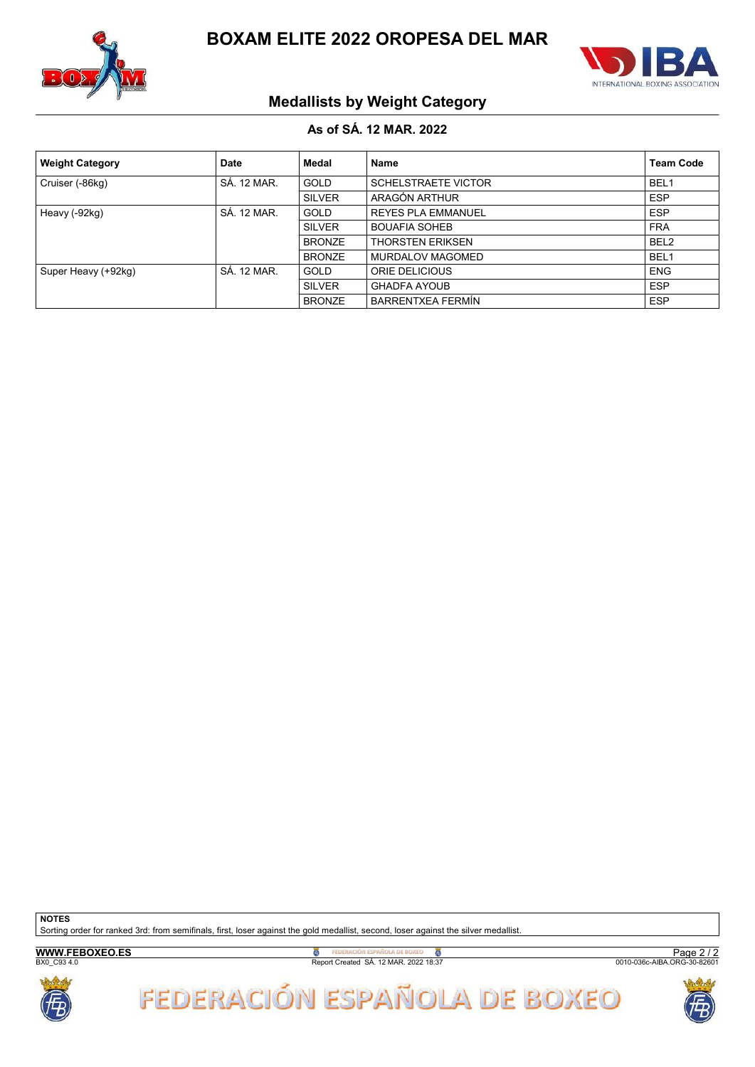



## Medallists by Weight Category

### As of SÁ. 12 MAR. 2022

| <b>Weight Category</b> | <b>Date</b> | Medal         | Name                       | <b>Team Code</b> |
|------------------------|-------------|---------------|----------------------------|------------------|
| Cruiser (-86kg)        | SÁ. 12 MAR. | <b>GOLD</b>   | <b>SCHELSTRAETE VICTOR</b> | BEL <sub>1</sub> |
|                        |             | <b>SILVER</b> | ARAGÓN ARTHUR              | <b>ESP</b>       |
| Heavy (-92kg)          | SÁ. 12 MAR. | <b>GOLD</b>   | <b>REYES PLA EMMANUEL</b>  | <b>ESP</b>       |
|                        |             | <b>SILVER</b> | <b>BOUAFIA SOHEB</b>       | <b>FRA</b>       |
|                        |             | <b>BRONZE</b> | <b>THORSTEN ERIKSEN</b>    | BEL <sub>2</sub> |
|                        |             | <b>BRONZE</b> | <b>MURDALOV MAGOMED</b>    | BEL <sub>1</sub> |
| Super Heavy (+92kg)    | SÁ. 12 MAR. | GOLD          | ORIE DELICIOUS             | <b>ENG</b>       |
|                        |             | <b>SILVER</b> | <b>GHADFA AYOUB</b>        | <b>ESP</b>       |
|                        |             | <b>BRONZE</b> | <b>BARRENTXEA FERMÍN</b>   | <b>ESP</b>       |

**NOTES** 

Sorting order for ranked 3rd: from semifinals, first, loser against the gold medallist, second, loser against the silver medallist.

WWW.FEBOXEO.ES

**B**<br>Report Created SÁ. 12 MAR. 2022 18:37

Page 2 / 2<br>0010-036c-AIBA.ORG-30-82601



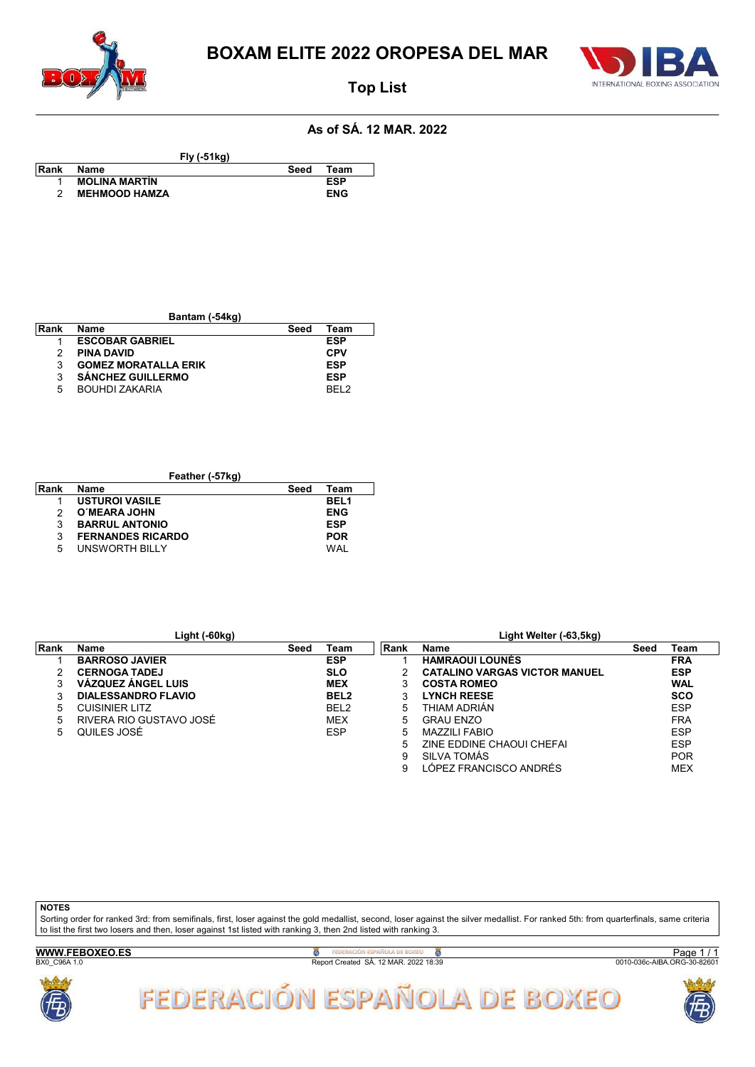



## Top List

#### As of SÁ. 12 MAR. 2022

Fly (-51kg)

- 
- Rank Name Seed Team
- Rank Name<br>
1 MOLINA MARTÍN ESP<br>
2 MEHMOOD HAMZA ENG
	- **MEHMOOD HAMZA**

| Rank | Name                        | Seed | Team       |
|------|-----------------------------|------|------------|
|      | <b>ESCOBAR GABRIEL</b>      |      | ESP        |
| 2    | <b>PINA DAVID</b>           |      | <b>CPV</b> |
| 3    | <b>GOMEZ MORATALLA ERIK</b> |      | <b>ESP</b> |
| 3    | <b>SÁNCHEZ GUILLERMO</b>    |      | <b>ESP</b> |
| 5    | <b>BOUHDI ZAKARIA</b>       |      | REI 2      |

Bantam (-54kg)

| Feather (-57kg) |                          |      |             |  |  |  |  |  |  |  |
|-----------------|--------------------------|------|-------------|--|--|--|--|--|--|--|
| Rank            | <b>Name</b>              | Seed | Team        |  |  |  |  |  |  |  |
|                 | <b>USTUROI VASILE</b>    |      | <b>BEL1</b> |  |  |  |  |  |  |  |
| 2               | O'MEARA JOHN             |      | <b>ENG</b>  |  |  |  |  |  |  |  |
| 3               | <b>BARRUL ANTONIO</b>    |      | <b>ESP</b>  |  |  |  |  |  |  |  |
| 3               | <b>FERNANDES RICARDO</b> |      | <b>POR</b>  |  |  |  |  |  |  |  |
| 5               | UNSWORTH BILLY           |      | WAI         |  |  |  |  |  |  |  |

|      | Light (-60kg)              |      |                  |      | Light Welter (-63,5kg)               |      |            |
|------|----------------------------|------|------------------|------|--------------------------------------|------|------------|
| Rank | <b>Name</b>                | Seed | Team             | Rank | <b>Name</b>                          | Seed | Team       |
|      | <b>BARROSO JAVIER</b>      |      | <b>ESP</b>       |      | <b>HAMRAOUI LOUNÈS</b>               |      | <b>FRA</b> |
|      | <b>CERNOGA TADEJ</b>       |      | <b>SLO</b>       |      | <b>CATALINO VARGAS VICTOR MANUEL</b> |      | <b>ESP</b> |
| 3    | <b>VÁZQUEZ ÁNGEL LUIS</b>  |      | <b>MEX</b>       |      | <b>COSTA ROMEO</b>                   |      | <b>WAL</b> |
|      | <b>DIALESSANDRO FLAVIO</b> |      | BEL <sub>2</sub> |      | <b>LYNCH REESE</b>                   |      | <b>SCO</b> |
| 5    | <b>CUISINIER LITZ</b>      |      | BEL <sub>2</sub> | 5    | THIAM ADRIÁN                         |      | <b>ESP</b> |
| 5    | RIVERA RIO GUSTAVO JOSÉ    |      | <b>MEX</b>       | 5    | <b>GRAU ENZO</b>                     |      | <b>FRA</b> |
| 5    | QUILES JOSÉ                |      | <b>ESP</b>       | 5    | <b>MAZZILI FABIO</b>                 |      | <b>ESP</b> |
|      |                            |      |                  | 5    | ZINE EDDINE CHAOUI CHEFAI            |      | <b>ESP</b> |
|      |                            |      |                  | 9    | SILVA TOMÁS                          |      | <b>POR</b> |
|      |                            |      |                  |      | LÓPEZ FRANCISCO ANDRÉS               |      | <b>MEX</b> |

#### **NOTES**

Sorting order for ranked 3rd: from semifinals, first, loser against the gold medallist, second, loser against the silver medallist. For ranked 5th: from quarterfinals, same criteria to list the first two losers and then, loser against 1st listed with ranking 3, then 2nd listed with ranking 3.

WWW.FEBOXEO.ES

**B**<br>Report Created SÁ. 12 MAR. 2022 18:39

Page 1/1<br>0010-036c-AIBA.ORG-30-82601